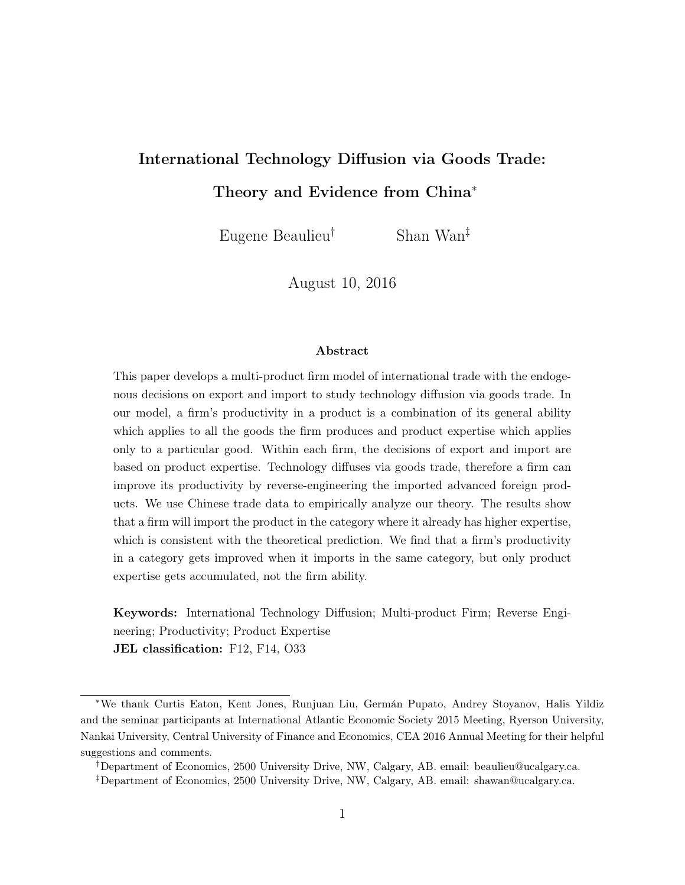# International Technology Diffusion via Goods Trade: Theory and Evidence from China<sup>∗</sup>

Eugene Beaulieu† Shan Wan‡

August 10, 2016

#### Abstract

This paper develops a multi-product firm model of international trade with the endogenous decisions on export and import to study technology diffusion via goods trade. In our model, a firm's productivity in a product is a combination of its general ability which applies to all the goods the firm produces and product expertise which applies only to a particular good. Within each firm, the decisions of export and import are based on product expertise. Technology diffuses via goods trade, therefore a firm can improve its productivity by reverse-engineering the imported advanced foreign products. We use Chinese trade data to empirically analyze our theory. The results show that a firm will import the product in the category where it already has higher expertise, which is consistent with the theoretical prediction. We find that a firm's productivity in a category gets improved when it imports in the same category, but only product expertise gets accumulated, not the firm ability.

Keywords: International Technology Diffusion; Multi-product Firm; Reverse Engineering; Productivity; Product Expertise JEL classification: F12, F14, O33

†Department of Economics, 2500 University Drive, NW, Calgary, AB. email: beaulieu@ucalgary.ca.

<sup>∗</sup>We thank Curtis Eaton, Kent Jones, Runjuan Liu, Germán Pupato, Andrey Stoyanov, Halis Yildiz and the seminar participants at International Atlantic Economic Society 2015 Meeting, Ryerson University, Nankai University, Central University of Finance and Economics, CEA 2016 Annual Meeting for their helpful suggestions and comments.

<sup>‡</sup>Department of Economics, 2500 University Drive, NW, Calgary, AB. email: shawan@ucalgary.ca.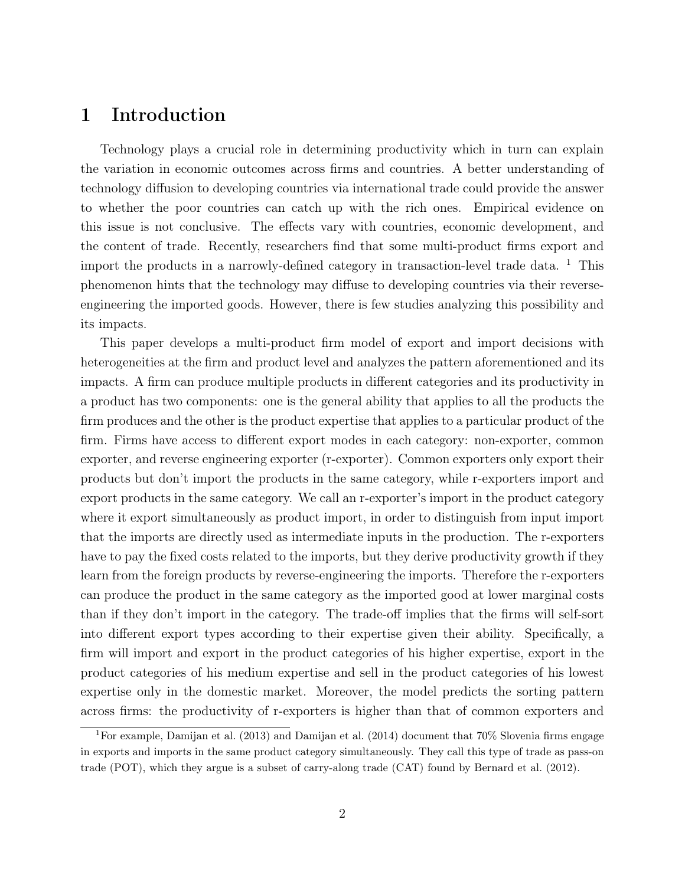## 1 Introduction

Technology plays a crucial role in determining productivity which in turn can explain the variation in economic outcomes across firms and countries. A better understanding of technology diffusion to developing countries via international trade could provide the answer to whether the poor countries can catch up with the rich ones. Empirical evidence on this issue is not conclusive. The effects vary with countries, economic development, and the content of trade. Recently, researchers find that some multi-product firms export and import the products in a narrowly-defined category in transaction-level trade data.  $1$  This phenomenon hints that the technology may diffuse to developing countries via their reverseengineering the imported goods. However, there is few studies analyzing this possibility and its impacts.

This paper develops a multi-product firm model of export and import decisions with heterogeneities at the firm and product level and analyzes the pattern aforementioned and its impacts. A firm can produce multiple products in different categories and its productivity in a product has two components: one is the general ability that applies to all the products the firm produces and the other is the product expertise that applies to a particular product of the firm. Firms have access to different export modes in each category: non-exporter, common exporter, and reverse engineering exporter (r-exporter). Common exporters only export their products but don't import the products in the same category, while r-exporters import and export products in the same category. We call an r-exporter's import in the product category where it export simultaneously as product import, in order to distinguish from input import that the imports are directly used as intermediate inputs in the production. The r-exporters have to pay the fixed costs related to the imports, but they derive productivity growth if they learn from the foreign products by reverse-engineering the imports. Therefore the r-exporters can produce the product in the same category as the imported good at lower marginal costs than if they don't import in the category. The trade-off implies that the firms will self-sort into different export types according to their expertise given their ability. Specifically, a firm will import and export in the product categories of his higher expertise, export in the product categories of his medium expertise and sell in the product categories of his lowest expertise only in the domestic market. Moreover, the model predicts the sorting pattern across firms: the productivity of r-exporters is higher than that of common exporters and

<sup>&</sup>lt;sup>1</sup>For example, Damijan et al. (2013) and Damijan et al. (2014) document that  $70\%$  Slovenia firms engage in exports and imports in the same product category simultaneously. They call this type of trade as pass-on trade (POT), which they argue is a subset of carry-along trade (CAT) found by Bernard et al. (2012).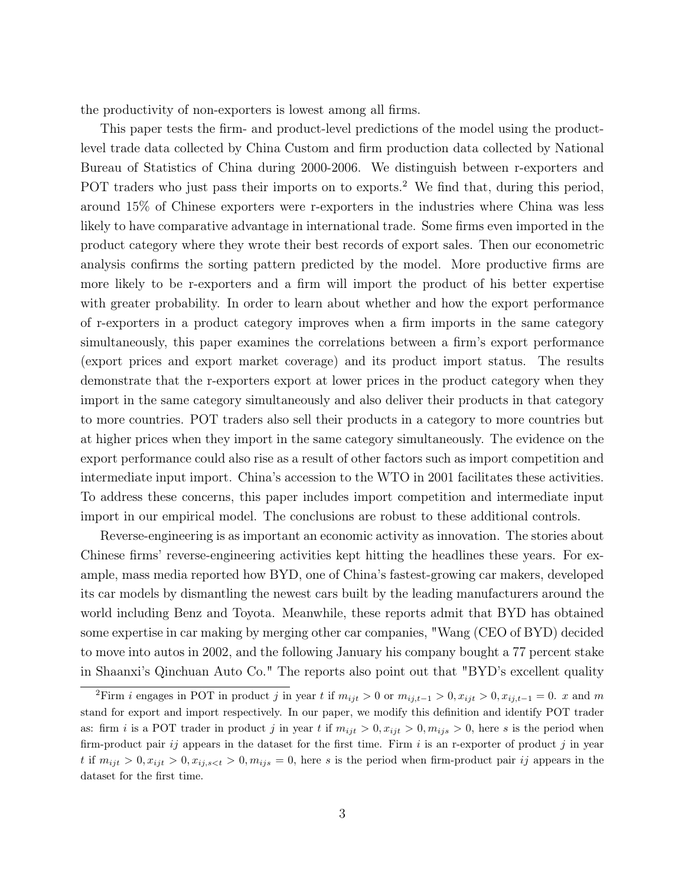the productivity of non-exporters is lowest among all firms.

This paper tests the firm- and product-level predictions of the model using the productlevel trade data collected by China Custom and firm production data collected by National Bureau of Statistics of China during 2000-2006. We distinguish between r-exporters and POT traders who just pass their imports on to exports.<sup>2</sup> We find that, during this period, around 15% of Chinese exporters were r-exporters in the industries where China was less likely to have comparative advantage in international trade. Some firms even imported in the product category where they wrote their best records of export sales. Then our econometric analysis confirms the sorting pattern predicted by the model. More productive firms are more likely to be r-exporters and a firm will import the product of his better expertise with greater probability. In order to learn about whether and how the export performance of r-exporters in a product category improves when a firm imports in the same category simultaneously, this paper examines the correlations between a firm's export performance (export prices and export market coverage) and its product import status. The results demonstrate that the r-exporters export at lower prices in the product category when they import in the same category simultaneously and also deliver their products in that category to more countries. POT traders also sell their products in a category to more countries but at higher prices when they import in the same category simultaneously. The evidence on the export performance could also rise as a result of other factors such as import competition and intermediate input import. China's accession to the WTO in 2001 facilitates these activities. To address these concerns, this paper includes import competition and intermediate input import in our empirical model. The conclusions are robust to these additional controls.

Reverse-engineering is as important an economic activity as innovation. The stories about Chinese firms' reverse-engineering activities kept hitting the headlines these years. For example, mass media reported how BYD, one of China's fastest-growing car makers, developed its car models by dismantling the newest cars built by the leading manufacturers around the world including Benz and Toyota. Meanwhile, these reports admit that BYD has obtained some expertise in car making by merging other car companies, "Wang (CEO of BYD) decided to move into autos in 2002, and the following January his company bought a 77 percent stake in Shaanxi's Qinchuan Auto Co." The reports also point out that "BYD's excellent quality

<sup>&</sup>lt;sup>2</sup>Firm *i* engages in POT in product j in year t if  $m_{ijt} > 0$  or  $m_{ij,t-1} > 0$ ,  $x_{ijt} > 0$ ,  $x_{ij,t-1} = 0$ . x and m stand for export and import respectively. In our paper, we modify this definition and identify POT trader as: firm i is a POT trader in product j in year t if  $m_{ijt} > 0, x_{ijt} > 0, m_{ijs} > 0$ , here s is the period when firm-product pair  $ij$  appears in the dataset for the first time. Firm i is an r-exporter of product j in year t if  $m_{ijt} > 0, x_{ijt} > 0, x_{ij,s < t} > 0, m_{ijs} = 0$ , here s is the period when firm-product pair ij appears in the dataset for the first time.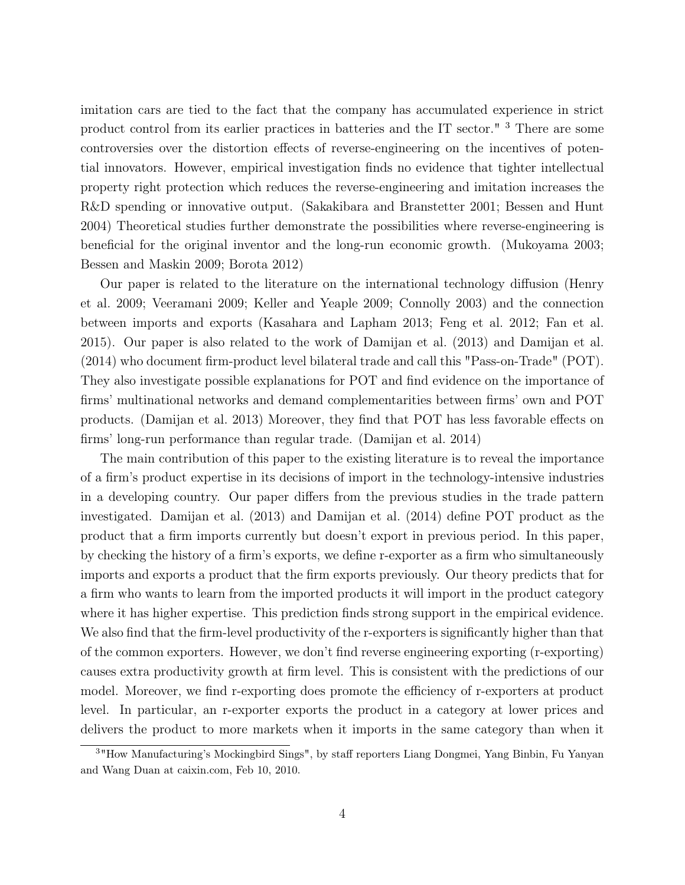imitation cars are tied to the fact that the company has accumulated experience in strict product control from its earlier practices in batteries and the IT sector." <sup>3</sup> There are some controversies over the distortion effects of reverse-engineering on the incentives of potential innovators. However, empirical investigation finds no evidence that tighter intellectual property right protection which reduces the reverse-engineering and imitation increases the R&D spending or innovative output. (Sakakibara and Branstetter 2001; Bessen and Hunt 2004) Theoretical studies further demonstrate the possibilities where reverse-engineering is beneficial for the original inventor and the long-run economic growth. (Mukoyama 2003; Bessen and Maskin 2009; Borota 2012)

Our paper is related to the literature on the international technology diffusion (Henry et al. 2009; Veeramani 2009; Keller and Yeaple 2009; Connolly 2003) and the connection between imports and exports (Kasahara and Lapham 2013; Feng et al. 2012; Fan et al. 2015). Our paper is also related to the work of Damijan et al. (2013) and Damijan et al. (2014) who document firm-product level bilateral trade and call this "Pass-on-Trade" (POT). They also investigate possible explanations for POT and find evidence on the importance of firms' multinational networks and demand complementarities between firms' own and POT products. (Damijan et al. 2013) Moreover, they find that POT has less favorable effects on firms' long-run performance than regular trade. (Damijan et al. 2014)

The main contribution of this paper to the existing literature is to reveal the importance of a firm's product expertise in its decisions of import in the technology-intensive industries in a developing country. Our paper differs from the previous studies in the trade pattern investigated. Damijan et al. (2013) and Damijan et al. (2014) define POT product as the product that a firm imports currently but doesn't export in previous period. In this paper, by checking the history of a firm's exports, we define r-exporter as a firm who simultaneously imports and exports a product that the firm exports previously. Our theory predicts that for a firm who wants to learn from the imported products it will import in the product category where it has higher expertise. This prediction finds strong support in the empirical evidence. We also find that the firm-level productivity of the r-exporters is significantly higher than that of the common exporters. However, we don't find reverse engineering exporting (r-exporting) causes extra productivity growth at firm level. This is consistent with the predictions of our model. Moreover, we find r-exporting does promote the efficiency of r-exporters at product level. In particular, an r-exporter exports the product in a category at lower prices and delivers the product to more markets when it imports in the same category than when it

<sup>3</sup>"How Manufacturing's Mockingbird Sings", by staff reporters Liang Dongmei, Yang Binbin, Fu Yanyan and Wang Duan at caixin.com, Feb 10, 2010.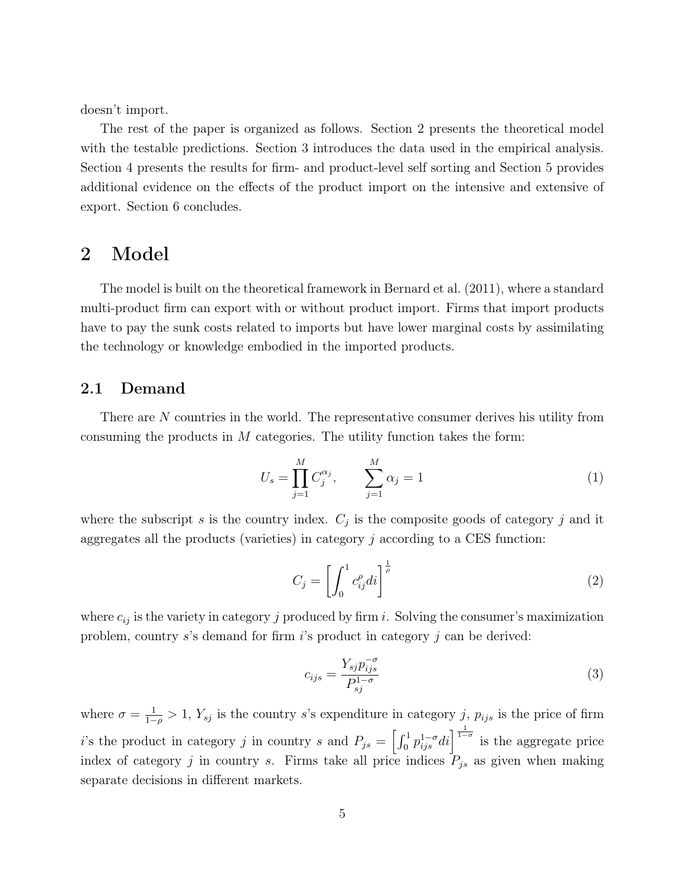doesn't import.

The rest of the paper is organized as follows. Section 2 presents the theoretical model with the testable predictions. Section 3 introduces the data used in the empirical analysis. Section 4 presents the results for firm- and product-level self sorting and Section 5 provides additional evidence on the effects of the product import on the intensive and extensive of export. Section 6 concludes.

## 2 Model

The model is built on the theoretical framework in Bernard et al. (2011), where a standard multi-product firm can export with or without product import. Firms that import products have to pay the sunk costs related to imports but have lower marginal costs by assimilating the technology or knowledge embodied in the imported products.

#### 2.1 Demand

There are N countries in the world. The representative consumer derives his utility from consuming the products in M categories. The utility function takes the form:

$$
U_s = \prod_{j=1}^{M} C_j^{\alpha_j}, \qquad \sum_{j=1}^{M} \alpha_j = 1
$$
 (1)

where the subscript s is the country index.  $C_j$  is the composite goods of category j and it aggregates all the products (varieties) in category  $j$  according to a CES function:

$$
C_j = \left[ \int_0^1 c_{ij}^\rho \, di \right]^{\frac{1}{\rho}} \tag{2}
$$

where  $c_{ij}$  is the variety in category j produced by firm i. Solving the consumer's maximization problem, country  $s$ 's demand for firm i's product in category  $j$  can be derived:

$$
c_{ijs} = \frac{Y_{sj}p_{ijs}^{-\sigma}}{P_{sj}^{1-\sigma}}
$$
\n
$$
\tag{3}
$$

where  $\sigma = \frac{1}{1}$  $\frac{1}{1-\rho} > 1$ ,  $Y_{sj}$  is the country s's expenditure in category j,  $p_{ijs}$  is the price of firm i's the product in category j in country s and  $P_{js} = \left[\int_0^1 p_{ijs}^{1-\sigma} di\right]^{\frac{1}{1-\sigma}}$  is the aggregate price index of category j in country s. Firms take all price indices  $P_{js}$  as given when making separate decisions in different markets.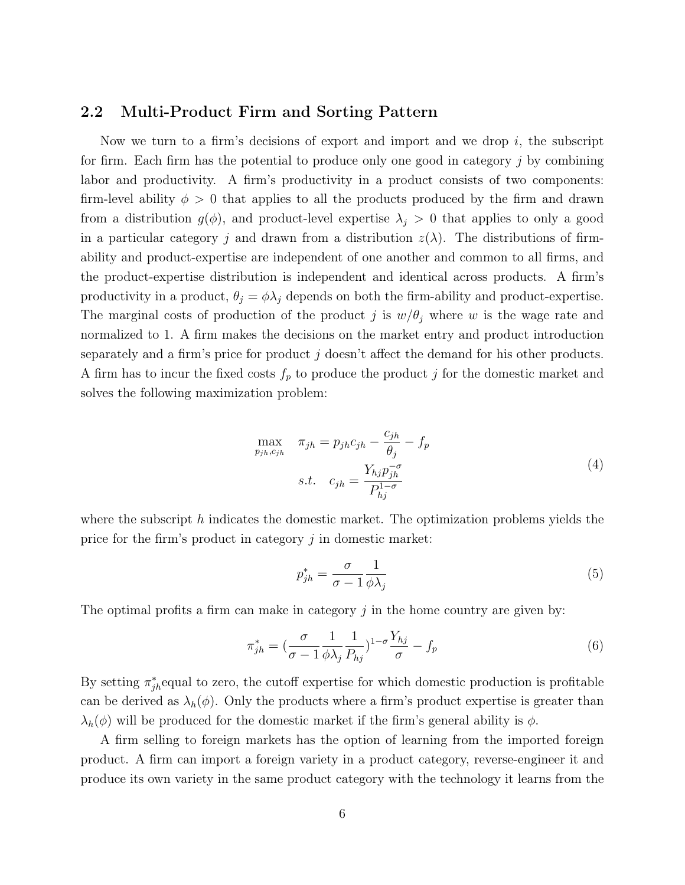### 2.2 Multi-Product Firm and Sorting Pattern

Now we turn to a firm's decisions of export and import and we drop  $i$ , the subscript for firm. Each firm has the potential to produce only one good in category j by combining labor and productivity. A firm's productivity in a product consists of two components: firm-level ability  $\phi > 0$  that applies to all the products produced by the firm and drawn from a distribution  $g(\phi)$ , and product-level expertise  $\lambda_j > 0$  that applies to only a good in a particular category j and drawn from a distribution  $z(\lambda)$ . The distributions of firmability and product-expertise are independent of one another and common to all firms, and the product-expertise distribution is independent and identical across products. A firm's productivity in a product,  $\theta_j = \phi \lambda_j$  depends on both the firm-ability and product-expertise. The marginal costs of production of the product j is  $w/\theta_j$  where w is the wage rate and normalized to 1. A firm makes the decisions on the market entry and product introduction separately and a firm's price for product j doesn't affect the demand for his other products. A firm has to incur the fixed costs  $f_p$  to produce the product j for the domestic market and solves the following maximization problem:

$$
\max_{p_{jh}, c_{jh}} \quad \pi_{jh} = p_{jh}c_{jh} - \frac{c_{jh}}{\theta_{j}} - f_{p}
$$
\n
$$
s.t. \quad c_{jh} = \frac{Y_{hj}p_{jh}^{-\sigma}}{P_{hj}^{1-\sigma}}
$$
\n
$$
(4)
$$

where the subscript  $h$  indicates the domestic market. The optimization problems yields the price for the firm's product in category  $j$  in domestic market:

$$
p_{jh}^{*} = \frac{\sigma}{\sigma - 1} \frac{1}{\phi \lambda_j} \tag{5}
$$

The optimal profits a firm can make in category  $\dot{\gamma}$  in the home country are given by:

$$
\pi_{jh}^{*} = \left(\frac{\sigma}{\sigma - 1} \frac{1}{\phi \lambda_j} \frac{1}{P_{hj}}\right)^{1 - \sigma} \frac{Y_{hj}}{\sigma} - f_p \tag{6}
$$

By setting  $\pi_{jh}^*$  equal to zero, the cutoff expertise for which domestic production is profitable can be derived as  $\lambda_h(\phi)$ . Only the products where a firm's product expertise is greater than  $\lambda_h(\phi)$  will be produced for the domestic market if the firm's general ability is  $\phi$ .

A firm selling to foreign markets has the option of learning from the imported foreign product. A firm can import a foreign variety in a product category, reverse-engineer it and produce its own variety in the same product category with the technology it learns from the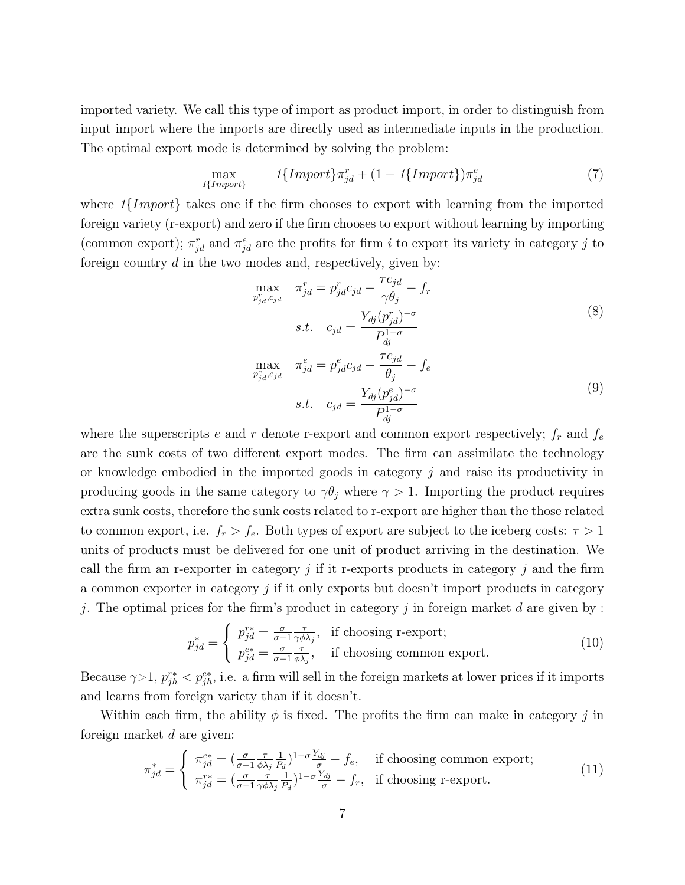imported variety. We call this type of import as product import, in order to distinguish from input import where the imports are directly used as intermediate inputs in the production. The optimal export mode is determined by solving the problem:

$$
\max_{I\{Import\}} \qquad \qquad I\{Import\} \pi_{jd}^r + (1 - I\{Import\}) \pi_{jd}^e \tag{7}
$$

where  $1\{Import\}$  takes one if the firm chooses to export with learning from the imported foreign variety (r-export) and zero if the firm chooses to export without learning by importing (common export);  $\pi_{jd}^r$  and  $\pi_{jd}^e$  are the profits for firm i to export its variety in category j to foreign country  $d$  in the two modes and, respectively, given by:

$$
\max_{p_{jd}^r, c_{jd}} \pi_{jd}^r = p_{jd}^r c_{jd} - \frac{\tau c_{jd}}{\gamma \theta_j} - f_r
$$
\n
$$
s.t. \quad c_{jd} = \frac{Y_{dj}(p_{jd}^r)^{-\sigma}}{P_{dj}^{1-\sigma}}
$$
\n
$$
\max_{p_{jd}^e, c_{jd}} \pi_{jd}^e = p_{jd}^e c_{jd} - \frac{\tau c_{jd}}{\theta_j} - f_e
$$
\n
$$
s.t. \quad c_{jd} = \frac{Y_{dj}(p_{jd}^e)^{-\sigma}}{P_{dj}^{1-\sigma}}
$$
\n(9)

where the superscripts e and r denote r-export and common export respectively;  $f_r$  and  $f_e$ are the sunk costs of two different export modes. The firm can assimilate the technology or knowledge embodied in the imported goods in category  $j$  and raise its productivity in producing goods in the same category to  $\gamma \theta_j$  where  $\gamma > 1$ . Importing the product requires extra sunk costs, therefore the sunk costs related to r-export are higher than the those related to common export, i.e.  $f_r > f_e$ . Both types of export are subject to the iceberg costs:  $\tau > 1$ units of products must be delivered for one unit of product arriving in the destination. We call the firm an r-exporter in category  $j$  if it r-exports products in category  $j$  and the firm a common exporter in category  $j$  if it only exports but doesn't import products in category j. The optimal prices for the firm's product in category j in foreign market d are given by :

$$
p_{jd}^* = \begin{cases} p_{jd}^{r*} = \frac{\sigma}{\sigma - 1} \frac{\tau}{\gamma \phi \lambda_j}, & \text{if choosing r-export;}\\ p_{jd}^{e*} = \frac{\sigma}{\sigma - 1} \frac{\tau}{\phi \lambda_j}, & \text{if choosing common export.} \end{cases}
$$
(10)

Because  $\gamma > 1$ ,  $p_{jh}^{r*} < p_{jh}^{e*}$ , i.e. a firm will sell in the foreign markets at lower prices if it imports and learns from foreign variety than if it doesn't.

Within each firm, the ability  $\phi$  is fixed. The profits the firm can make in category j in foreign market d are given:

$$
\pi_{jd}^* = \begin{cases}\n\pi_{jd}^{e*} = \left(\frac{\sigma}{\sigma-1} \frac{\tau}{\phi \lambda_j} \frac{1}{P_d}\right)^{1-\sigma} \frac{Y_{dj}}{\sigma} - f_e, & \text{if choosing common export;} \\
\pi_{jd}^{r*} = \left(\frac{\sigma}{\sigma-1} \frac{\tau}{\gamma \phi \lambda_j} \frac{1}{P_d}\right)^{1-\sigma} \frac{Y_{dj}}{\sigma} - f_r, & \text{if choosing r-export.}\n\end{cases}
$$
\n(11)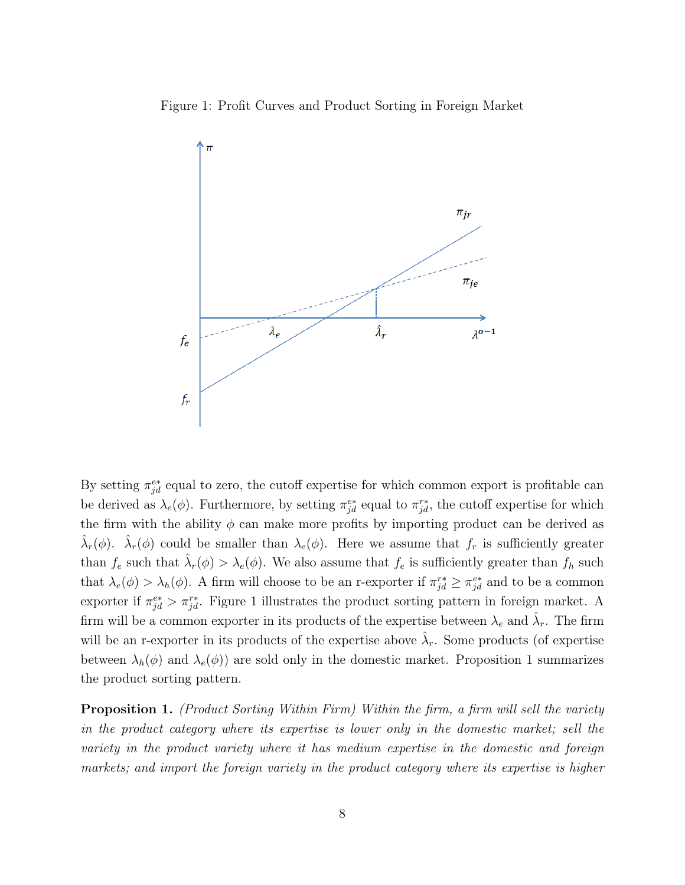Figure 1: Profit Curves and Product Sorting in Foreign Market



By setting  $\pi_{jd}^{e*}$  equal to zero, the cutoff expertise for which common export is profitable can be derived as  $\lambda_e(\phi)$ . Furthermore, by setting  $\pi_{jd}^{e*}$  equal to  $\pi_{jd}^{r*}$ , the cutoff expertise for which the firm with the ability  $\phi$  can make more profits by importing product can be derived as  $\hat{\lambda}_r(\phi)$ .  $\hat{\lambda}_r(\phi)$  could be smaller than  $\lambda_e(\phi)$ . Here we assume that  $f_r$  is sufficiently greater than  $f_e$  such that  $\hat{\lambda}_r(\phi) > \lambda_e(\phi)$ . We also assume that  $f_e$  is sufficiently greater than  $f_h$  such that  $\lambda_e(\phi) > \lambda_h(\phi)$ . A firm will choose to be an r-exporter if  $\pi_{jd}^{r*} \geq \pi_{jd}^{e*}$  and to be a common exporter if  $\pi_{jd}^{e*} > \pi_{jd}^{r*}$ . Figure 1 illustrates the product sorting pattern in foreign market. A firm will be a common exporter in its products of the expertise between  $\lambda_e$  and  $\hat{\lambda}_r$ . The firm will be an r-exporter in its products of the expertise above  $\hat{\lambda}_r$ . Some products (of expertise between  $\lambda_h(\phi)$  and  $\lambda_e(\phi)$  are sold only in the domestic market. Proposition 1 summarizes the product sorting pattern.

**Proposition 1.** (Product Sorting Within Firm) Within the firm, a firm will sell the variety in the product category where its expertise is lower only in the domestic market; sell the variety in the product variety where it has medium expertise in the domestic and foreign markets; and import the foreign variety in the product category where its expertise is higher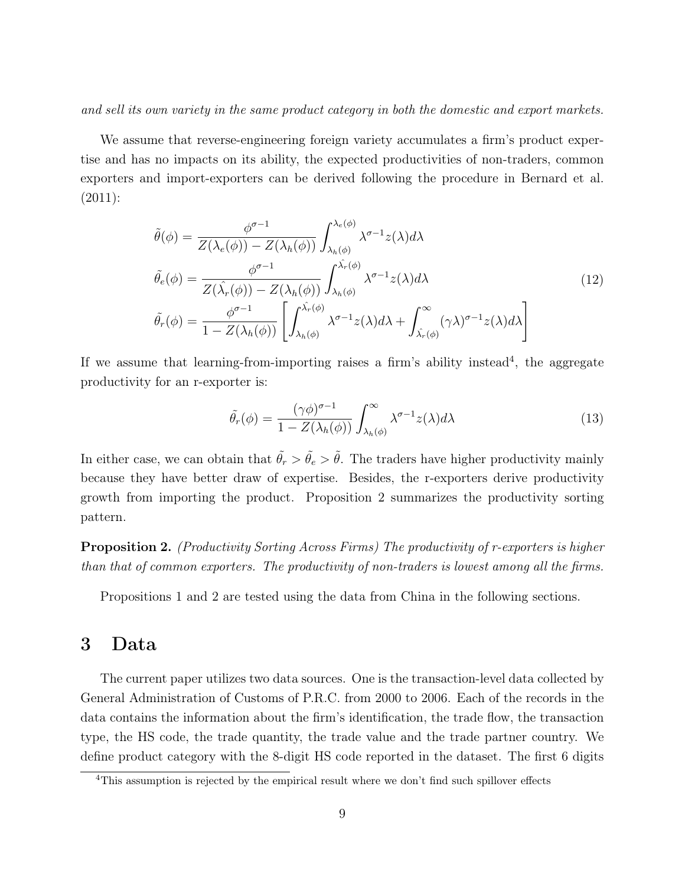and sell its own variety in the same product category in both the domestic and export markets.

We assume that reverse-engineering foreign variety accumulates a firm's product expertise and has no impacts on its ability, the expected productivities of non-traders, common exporters and import-exporters can be derived following the procedure in Bernard et al. (2011):

$$
\tilde{\theta}(\phi) = \frac{\phi^{\sigma-1}}{Z(\lambda_e(\phi)) - Z(\lambda_h(\phi))} \int_{\lambda_h(\phi)}^{\lambda_e(\phi)} \lambda^{\sigma-1} z(\lambda) d\lambda
$$
\n
$$
\tilde{\theta}_e(\phi) = \frac{\phi^{\sigma-1}}{Z(\hat{\lambda}_r(\phi)) - Z(\lambda_h(\phi))} \int_{\lambda_h(\phi)}^{\hat{\lambda}_r(\phi)} \lambda^{\sigma-1} z(\lambda) d\lambda
$$
\n
$$
\tilde{\theta}_r(\phi) = \frac{\phi^{\sigma-1}}{1 - Z(\lambda_h(\phi))} \left[ \int_{\lambda_h(\phi)}^{\hat{\lambda}_r(\phi)} \lambda^{\sigma-1} z(\lambda) d\lambda + \int_{\hat{\lambda}_r(\phi)}^{\infty} (\gamma \lambda)^{\sigma-1} z(\lambda) d\lambda \right]
$$
\n(12)

If we assume that learning-from-importing raises a firm's ability instead<sup>4</sup>, the aggregate productivity for an r-exporter is:

$$
\tilde{\theta_r}(\phi) = \frac{(\gamma \phi)^{\sigma - 1}}{1 - Z(\lambda_h(\phi))} \int_{\lambda_h(\phi)}^{\infty} \lambda^{\sigma - 1} z(\lambda) d\lambda \tag{13}
$$

In either case, we can obtain that  $\tilde{\theta}_r > \tilde{\theta}_e > \tilde{\theta}$ . The traders have higher productivity mainly because they have better draw of expertise. Besides, the r-exporters derive productivity growth from importing the product. Proposition 2 summarizes the productivity sorting pattern.

Proposition 2. (Productivity Sorting Across Firms) The productivity of r-exporters is higher than that of common exporters. The productivity of non-traders is lowest among all the firms.

Propositions 1 and 2 are tested using the data from China in the following sections.

## 3 Data

The current paper utilizes two data sources. One is the transaction-level data collected by General Administration of Customs of P.R.C. from 2000 to 2006. Each of the records in the data contains the information about the firm's identification, the trade flow, the transaction type, the HS code, the trade quantity, the trade value and the trade partner country. We define product category with the 8-digit HS code reported in the dataset. The first 6 digits

<sup>&</sup>lt;sup>4</sup>This assumption is rejected by the empirical result where we don't find such spillover effects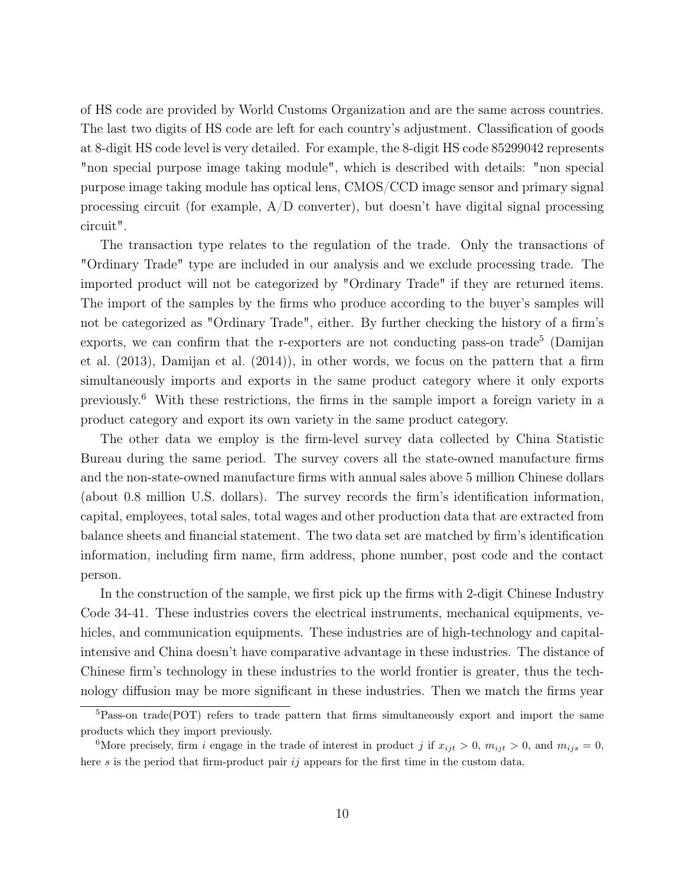of HS code are provided by World Customs Organization and are the same across countries. The last two digits of HS code are left for each country's adjustment. Classification of goods at 8-digit HS code level is very detailed. For example, the 8-digit HS code 85299042 represents "non special purpose image taking module", which is described with details: "non special purpose image taking module has optical lens, CMOS/CCD image sensor and primary signal processing circuit (for example,  $A/D$  converter), but doesn't have digital signal processing circuit".

The transaction type relates to the regulation of the trade. Only the transactions of "Ordinary Trade" type are included in our analysis and we exclude processing trade. The imported product will not be categorized by "Ordinary Trade" if they are returned items. The import of the samples by the firms who produce according to the buyer's samples will not be categorized as "Ordinary Trade", either. By further checking the history of a firm's exports, we can confirm that the r-exporters are not conducting pass-on trade<sup>5</sup> (Damijan et al. (2013), Damijan et al. (2014)), in other words, we focus on the pattern that a firm simultaneously imports and exports in the same product category where it only exports previously.<sup>6</sup> With these restrictions, the firms in the sample import a foreign variety in a product category and export its own variety in the same product category.

The other data we employ is the firm-level survey data collected by China Statistic Bureau during the same period. The survey covers all the state-owned manufacture firms and the non-state-owned manufacture firms with annual sales above 5 million Chinese dollars (about 0.8 million U.S. dollars). The survey records the firm's identification information, capital, employees, total sales, total wages and other production data that are extracted from balance sheets and financial statement. The two data set are matched by firm's identification information, including firm name, firm address, phone number, post code and the contact person.

In the construction of the sample, we first pick up the firms with 2-digit Chinese Industry Code 34-41. These industries covers the electrical instruments, mechanical equipments, vehicles, and communication equipments. These industries are of high-technology and capitalintensive and China doesn't have comparative advantage in these industries. The distance of Chinese firm's technology in these industries to the world frontier is greater, thus the technology diffusion may be more significant in these industries. Then we match the firms year

<sup>5</sup>Pass-on trade(POT) refers to trade pattern that firms simultaneously export and import the same products which they import previously.

<sup>&</sup>lt;sup>6</sup>More precisely, firm i engage in the trade of interest in product j if  $x_{ijt} > 0$ ,  $m_{ijt} > 0$ , and  $m_{ijs} = 0$ , here s is the period that firm-product pair ij appears for the first time in the custom data.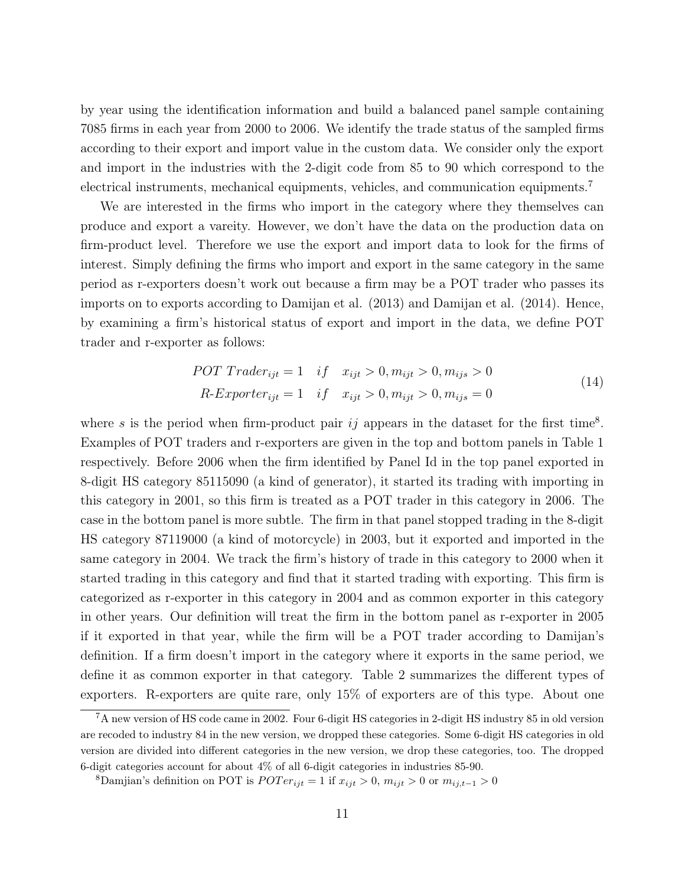by year using the identification information and build a balanced panel sample containing 7085 firms in each year from 2000 to 2006. We identify the trade status of the sampled firms according to their export and import value in the custom data. We consider only the export and import in the industries with the 2-digit code from 85 to 90 which correspond to the electrical instruments, mechanical equipments, vehicles, and communication equipments.<sup>7</sup>

We are interested in the firms who import in the category where they themselves can produce and export a vareity. However, we don't have the data on the production data on firm-product level. Therefore we use the export and import data to look for the firms of interest. Simply defining the firms who import and export in the same category in the same period as r-exporters doesn't work out because a firm may be a POT trader who passes its imports on to exports according to Damijan et al. (2013) and Damijan et al. (2014). Hence, by examining a firm's historical status of export and import in the data, we define POT trader and r-exporter as follows:

$$
POT\ Trade_{ijt} = 1 \quad if \quad x_{ijt} > 0, m_{ijt} > 0, m_{ijs} > 0
$$
\n
$$
R \n-E \nzporter_{ijt} = 1 \quad if \quad x_{ijt} > 0, m_{ijt} > 0, m_{ijs} = 0
$$
\n
$$
(14)
$$

where s is the period when firm-product pair  $ij$  appears in the dataset for the first time<sup>8</sup>. Examples of POT traders and r-exporters are given in the top and bottom panels in Table 1 respectively. Before 2006 when the firm identified by Panel Id in the top panel exported in 8-digit HS category 85115090 (a kind of generator), it started its trading with importing in this category in 2001, so this firm is treated as a POT trader in this category in 2006. The case in the bottom panel is more subtle. The firm in that panel stopped trading in the 8-digit HS category 87119000 (a kind of motorcycle) in 2003, but it exported and imported in the same category in 2004. We track the firm's history of trade in this category to 2000 when it started trading in this category and find that it started trading with exporting. This firm is categorized as r-exporter in this category in 2004 and as common exporter in this category in other years. Our definition will treat the firm in the bottom panel as r-exporter in 2005 if it exported in that year, while the firm will be a POT trader according to Damijan's definition. If a firm doesn't import in the category where it exports in the same period, we define it as common exporter in that category. Table 2 summarizes the different types of exporters. R-exporters are quite rare, only 15% of exporters are of this type. About one

<sup>7</sup>A new version of HS code came in 2002. Four 6-digit HS categories in 2-digit HS industry 85 in old version are recoded to industry 84 in the new version, we dropped these categories. Some 6-digit HS categories in old version are divided into different categories in the new version, we drop these categories, too. The dropped 6-digit categories account for about 4% of all 6-digit categories in industries 85-90.

<sup>&</sup>lt;sup>8</sup>Damjian's definition on POT is  $POTer_{ijt} = 1$  if  $x_{ijt} > 0$ ,  $m_{ijt} > 0$  or  $m_{ij,t-1} > 0$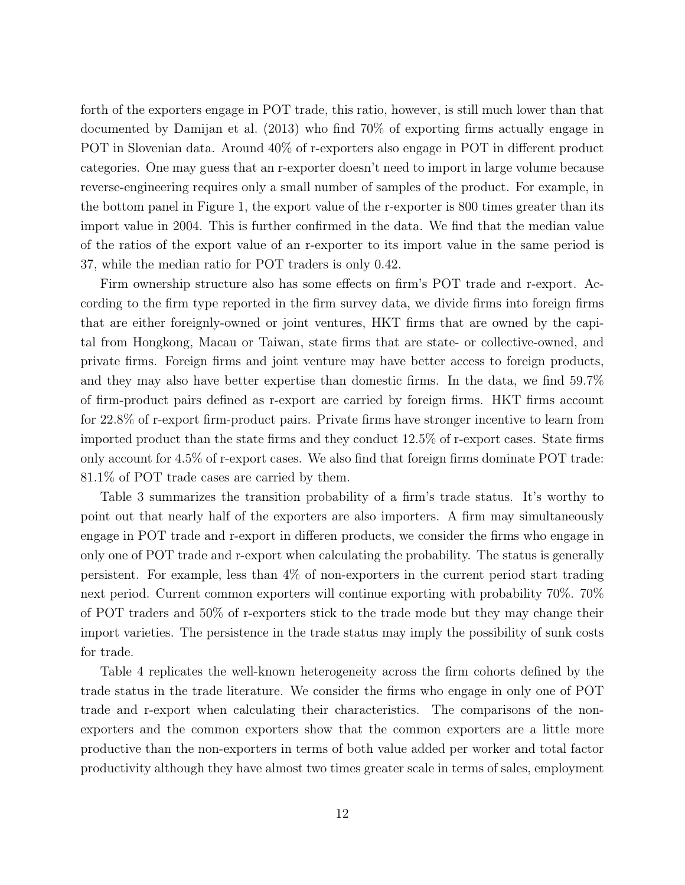forth of the exporters engage in POT trade, this ratio, however, is still much lower than that documented by Damijan et al. (2013) who find 70% of exporting firms actually engage in POT in Slovenian data. Around 40% of r-exporters also engage in POT in different product categories. One may guess that an r-exporter doesn't need to import in large volume because reverse-engineering requires only a small number of samples of the product. For example, in the bottom panel in Figure 1, the export value of the r-exporter is 800 times greater than its import value in 2004. This is further confirmed in the data. We find that the median value of the ratios of the export value of an r-exporter to its import value in the same period is 37, while the median ratio for POT traders is only 0.42.

Firm ownership structure also has some effects on firm's POT trade and r-export. According to the firm type reported in the firm survey data, we divide firms into foreign firms that are either foreignly-owned or joint ventures, HKT firms that are owned by the capital from Hongkong, Macau or Taiwan, state firms that are state- or collective-owned, and private firms. Foreign firms and joint venture may have better access to foreign products, and they may also have better expertise than domestic firms. In the data, we find 59.7% of firm-product pairs defined as r-export are carried by foreign firms. HKT firms account for 22.8% of r-export firm-product pairs. Private firms have stronger incentive to learn from imported product than the state firms and they conduct 12.5% of r-export cases. State firms only account for 4.5% of r-export cases. We also find that foreign firms dominate POT trade: 81.1% of POT trade cases are carried by them.

Table 3 summarizes the transition probability of a firm's trade status. It's worthy to point out that nearly half of the exporters are also importers. A firm may simultaneously engage in POT trade and r-export in differen products, we consider the firms who engage in only one of POT trade and r-export when calculating the probability. The status is generally persistent. For example, less than 4% of non-exporters in the current period start trading next period. Current common exporters will continue exporting with probability 70%. 70% of POT traders and 50% of r-exporters stick to the trade mode but they may change their import varieties. The persistence in the trade status may imply the possibility of sunk costs for trade.

Table 4 replicates the well-known heterogeneity across the firm cohorts defined by the trade status in the trade literature. We consider the firms who engage in only one of POT trade and r-export when calculating their characteristics. The comparisons of the nonexporters and the common exporters show that the common exporters are a little more productive than the non-exporters in terms of both value added per worker and total factor productivity although they have almost two times greater scale in terms of sales, employment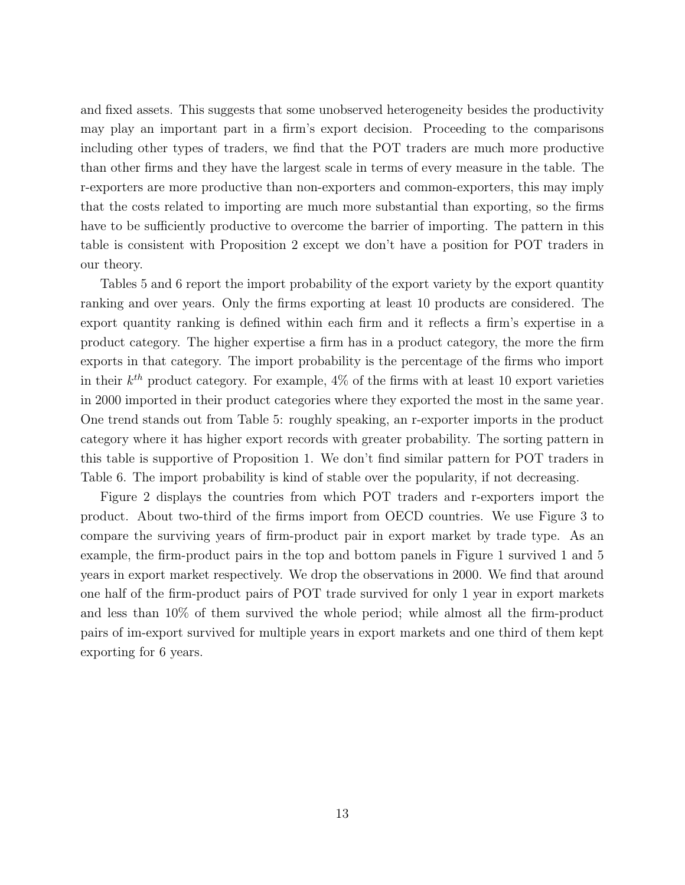and fixed assets. This suggests that some unobserved heterogeneity besides the productivity may play an important part in a firm's export decision. Proceeding to the comparisons including other types of traders, we find that the POT traders are much more productive than other firms and they have the largest scale in terms of every measure in the table. The r-exporters are more productive than non-exporters and common-exporters, this may imply that the costs related to importing are much more substantial than exporting, so the firms have to be sufficiently productive to overcome the barrier of importing. The pattern in this table is consistent with Proposition 2 except we don't have a position for POT traders in our theory.

Tables 5 and 6 report the import probability of the export variety by the export quantity ranking and over years. Only the firms exporting at least 10 products are considered. The export quantity ranking is defined within each firm and it reflects a firm's expertise in a product category. The higher expertise a firm has in a product category, the more the firm exports in that category. The import probability is the percentage of the firms who import in their  $k^{th}$  product category. For example, 4% of the firms with at least 10 export varieties in 2000 imported in their product categories where they exported the most in the same year. One trend stands out from Table 5: roughly speaking, an r-exporter imports in the product category where it has higher export records with greater probability. The sorting pattern in this table is supportive of Proposition 1. We don't find similar pattern for POT traders in Table 6. The import probability is kind of stable over the popularity, if not decreasing.

Figure 2 displays the countries from which POT traders and r-exporters import the product. About two-third of the firms import from OECD countries. We use Figure 3 to compare the surviving years of firm-product pair in export market by trade type. As an example, the firm-product pairs in the top and bottom panels in Figure 1 survived 1 and 5 years in export market respectively. We drop the observations in 2000. We find that around one half of the firm-product pairs of POT trade survived for only 1 year in export markets and less than 10% of them survived the whole period; while almost all the firm-product pairs of im-export survived for multiple years in export markets and one third of them kept exporting for 6 years.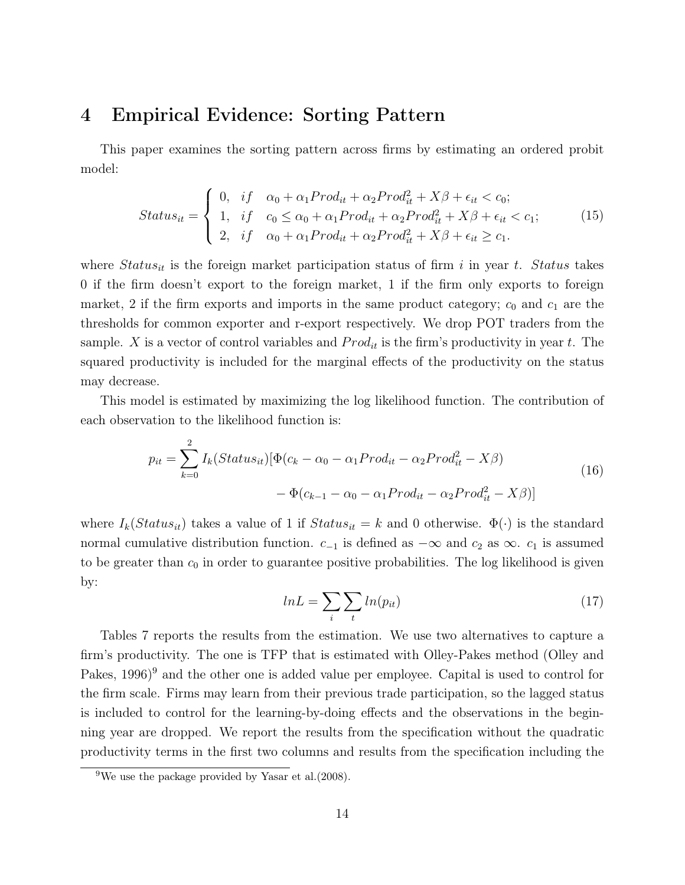## 4 Empirical Evidence: Sorting Pattern

This paper examines the sorting pattern across firms by estimating an ordered probit model:

$$
Status_{it} = \begin{cases} 0, & if \quad \alpha_0 + \alpha_1 Prod_{it} + \alpha_2 Prod_{it} + X\beta + \epsilon_{it} < c_0; \\ 1, & if \quad c_0 \le \alpha_0 + \alpha_1 Prod_{it} + \alpha_2 Prod_{it} + X\beta + \epsilon_{it} < c_1; \\ 2, & if \quad \alpha_0 + \alpha_1 Prod_{it} + \alpha_2 Prod_{it} + X\beta + \epsilon_{it} \ge c_1. \end{cases} \tag{15}
$$

where  $Status_{it}$  is the foreign market participation status of firm i in year t. Status takes 0 if the firm doesn't export to the foreign market, 1 if the firm only exports to foreign market, 2 if the firm exports and imports in the same product category;  $c_0$  and  $c_1$  are the thresholds for common exporter and r-export respectively. We drop POT traders from the sample. X is a vector of control variables and  $Prod_{it}$  is the firm's productivity in year t. The squared productivity is included for the marginal effects of the productivity on the status may decrease.

This model is estimated by maximizing the log likelihood function. The contribution of each observation to the likelihood function is:

$$
p_{it} = \sum_{k=0}^{2} I_k(Status_{it}) [\Phi(c_k - \alpha_0 - \alpha_1 Prod_{it} - \alpha_2 Prod_{it}^2 - X\beta)
$$
  
-  $\Phi(c_{k-1} - \alpha_0 - \alpha_1 Prod_{it} - \alpha_2 Prod_{it}^2 - X\beta)]$  (16)

where  $I_k(Status_{it})$  takes a value of 1 if  $Status_{it} = k$  and 0 otherwise.  $\Phi(\cdot)$  is the standard normal cumulative distribution function.  $c_{-1}$  is defined as  $-\infty$  and  $c_2$  as  $\infty$ .  $c_1$  is assumed to be greater than  $c_0$  in order to guarantee positive probabilities. The log likelihood is given by:

$$
lnL = \sum_{i} \sum_{t} ln(p_{it})
$$
\n(17)

Tables 7 reports the results from the estimation. We use two alternatives to capture a firm's productivity. The one is TFP that is estimated with Olley-Pakes method (Olley and Pakes, 1996)<sup>9</sup> and the other one is added value per employee. Capital is used to control for the firm scale. Firms may learn from their previous trade participation, so the lagged status is included to control for the learning-by-doing effects and the observations in the beginning year are dropped. We report the results from the specification without the quadratic productivity terms in the first two columns and results from the specification including the

<sup>&</sup>lt;sup>9</sup>We use the package provided by Yasar et al.  $(2008)$ .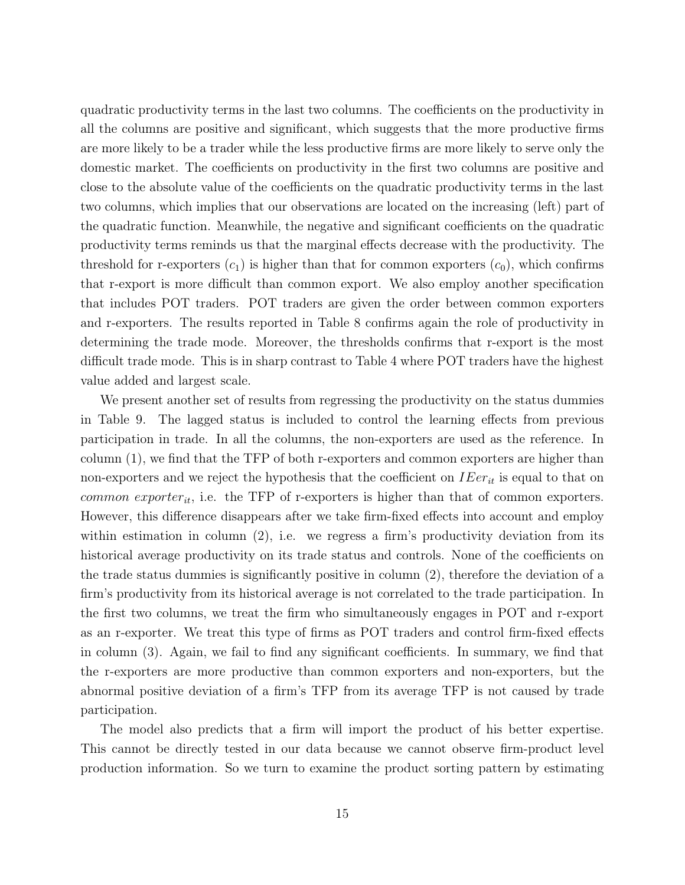quadratic productivity terms in the last two columns. The coefficients on the productivity in all the columns are positive and significant, which suggests that the more productive firms are more likely to be a trader while the less productive firms are more likely to serve only the domestic market. The coefficients on productivity in the first two columns are positive and close to the absolute value of the coefficients on the quadratic productivity terms in the last two columns, which implies that our observations are located on the increasing (left) part of the quadratic function. Meanwhile, the negative and significant coefficients on the quadratic productivity terms reminds us that the marginal effects decrease with the productivity. The threshold for r-exporters  $(c_1)$  is higher than that for common exporters  $(c_0)$ , which confirms that r-export is more difficult than common export. We also employ another specification that includes POT traders. POT traders are given the order between common exporters and r-exporters. The results reported in Table 8 confirms again the role of productivity in determining the trade mode. Moreover, the thresholds confirms that r-export is the most difficult trade mode. This is in sharp contrast to Table 4 where POT traders have the highest value added and largest scale.

We present another set of results from regressing the productivity on the status dummies in Table 9. The lagged status is included to control the learning effects from previous participation in trade. In all the columns, the non-exporters are used as the reference. In column (1), we find that the TFP of both r-exporters and common exporters are higher than non-exporters and we reject the hypothesis that the coefficient on  $IEx_{it}$  is equal to that on common exporter<sub>it</sub>, i.e. the TFP of r-exporters is higher than that of common exporters. However, this difference disappears after we take firm-fixed effects into account and employ within estimation in column  $(2)$ , i.e. we regress a firm's productivity deviation from its historical average productivity on its trade status and controls. None of the coefficients on the trade status dummies is significantly positive in column (2), therefore the deviation of a firm's productivity from its historical average is not correlated to the trade participation. In the first two columns, we treat the firm who simultaneously engages in POT and r-export as an r-exporter. We treat this type of firms as POT traders and control firm-fixed effects in column (3). Again, we fail to find any significant coefficients. In summary, we find that the r-exporters are more productive than common exporters and non-exporters, but the abnormal positive deviation of a firm's TFP from its average TFP is not caused by trade participation.

The model also predicts that a firm will import the product of his better expertise. This cannot be directly tested in our data because we cannot observe firm-product level production information. So we turn to examine the product sorting pattern by estimating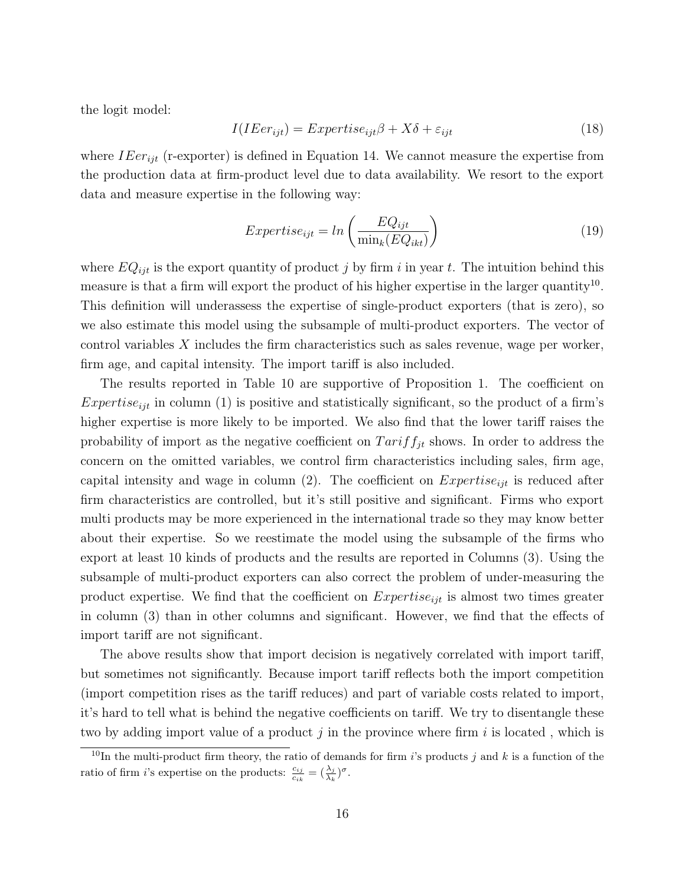the logit model:

$$
I(IEer_{ijt}) = Expertise_{ijt}\beta + X\delta + \varepsilon_{ijt}
$$
\n
$$
(18)
$$

where  $I\mathit{Eer}_{ijt}$  (r-exporter) is defined in Equation 14. We cannot measure the expertise from the production data at firm-product level due to data availability. We resort to the export data and measure expertise in the following way:

$$
Expertise_{ijt} = \ln\left(\frac{EQ_{ijt}}{\min_{k}(EQ_{ikt})}\right)
$$
\n(19)

where  $EQ_{ijt}$  is the export quantity of product j by firm i in year t. The intuition behind this measure is that a firm will export the product of his higher expertise in the larger quantity<sup>10</sup>. This definition will underassess the expertise of single-product exporters (that is zero), so we also estimate this model using the subsample of multi-product exporters. The vector of control variables X includes the firm characteristics such as sales revenue, wage per worker, firm age, and capital intensity. The import tariff is also included.

The results reported in Table 10 are supportive of Proposition 1. The coefficient on  $Expertise_{ijt}$  in column (1) is positive and statistically significant, so the product of a firm's higher expertise is more likely to be imported. We also find that the lower tariff raises the probability of import as the negative coefficient on  $Tariff_{it}$  shows. In order to address the concern on the omitted variables, we control firm characteristics including sales, firm age, capital intensity and wage in column (2). The coefficient on  $Expertise_{ijt}$  is reduced after firm characteristics are controlled, but it's still positive and significant. Firms who export multi products may be more experienced in the international trade so they may know better about their expertise. So we reestimate the model using the subsample of the firms who export at least 10 kinds of products and the results are reported in Columns (3). Using the subsample of multi-product exporters can also correct the problem of under-measuring the product expertise. We find that the coefficient on  $Expertise_{ijt}$  is almost two times greater in column (3) than in other columns and significant. However, we find that the effects of import tariff are not significant.

The above results show that import decision is negatively correlated with import tariff, but sometimes not significantly. Because import tariff reflects both the import competition (import competition rises as the tariff reduces) and part of variable costs related to import, it's hard to tell what is behind the negative coefficients on tariff. We try to disentangle these two by adding import value of a product  $j$  in the province where firm  $i$  is located, which is

<sup>&</sup>lt;sup>10</sup>In the multi-product firm theory, the ratio of demands for firm i's products j and k is a function of the ratio of firm *i*'s expertise on the products:  $\frac{c_{ij}}{c_{ik}} = (\frac{\lambda_j}{\lambda_k})^{\sigma}$ .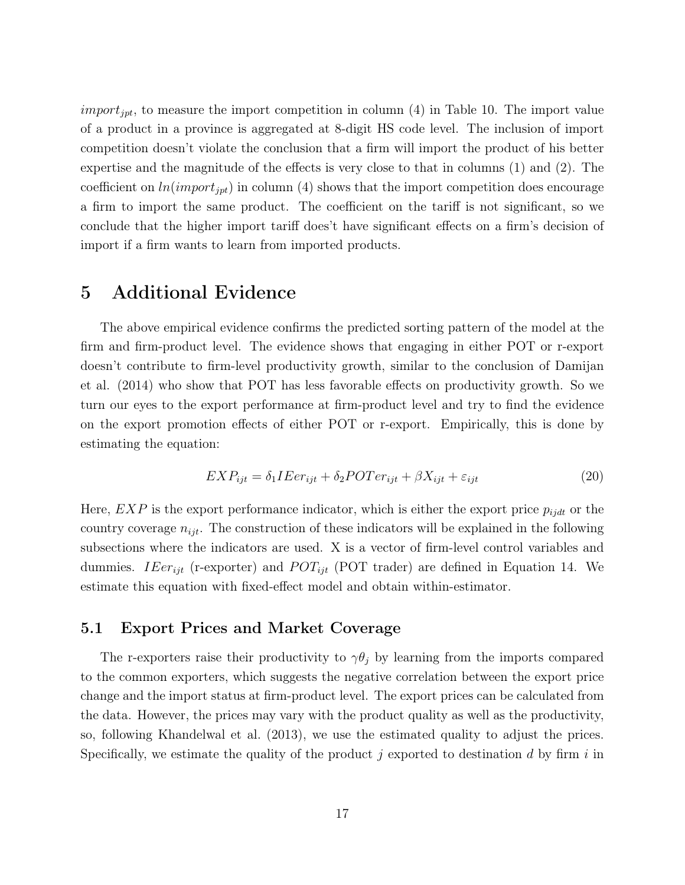*import<sub>ipt</sub>*, to measure the import competition in column (4) in Table 10. The import value of a product in a province is aggregated at 8-digit HS code level. The inclusion of import competition doesn't violate the conclusion that a firm will import the product of his better expertise and the magnitude of the effects is very close to that in columns (1) and (2). The coefficient on  $ln(import_{jpt})$  in column (4) shows that the import competition does encourage a firm to import the same product. The coefficient on the tariff is not significant, so we conclude that the higher import tariff does't have significant effects on a firm's decision of import if a firm wants to learn from imported products.

## 5 Additional Evidence

The above empirical evidence confirms the predicted sorting pattern of the model at the firm and firm-product level. The evidence shows that engaging in either POT or r-export doesn't contribute to firm-level productivity growth, similar to the conclusion of Damijan et al. (2014) who show that POT has less favorable effects on productivity growth. So we turn our eyes to the export performance at firm-product level and try to find the evidence on the export promotion effects of either POT or r-export. Empirically, this is done by estimating the equation:

$$
EXP_{ijt} = \delta_1 IEer_{ijt} + \delta_2 POTer_{ijt} + \beta X_{ijt} + \varepsilon_{ijt}
$$
\n(20)

Here,  $EXP$  is the export performance indicator, which is either the export price  $p_{ijdt}$  or the country coverage  $n_{ijt}$ . The construction of these indicators will be explained in the following subsections where the indicators are used. X is a vector of firm-level control variables and dummies. IEer<sub>ijt</sub> (r-exporter) and POT<sub>ijt</sub> (POT trader) are defined in Equation 14. We estimate this equation with fixed-effect model and obtain within-estimator.

#### 5.1 Export Prices and Market Coverage

The r-exporters raise their productivity to  $\gamma \theta_i$  by learning from the imports compared to the common exporters, which suggests the negative correlation between the export price change and the import status at firm-product level. The export prices can be calculated from the data. However, the prices may vary with the product quality as well as the productivity, so, following Khandelwal et al. (2013), we use the estimated quality to adjust the prices. Specifically, we estimate the quality of the product j exported to destination d by firm  $i$  in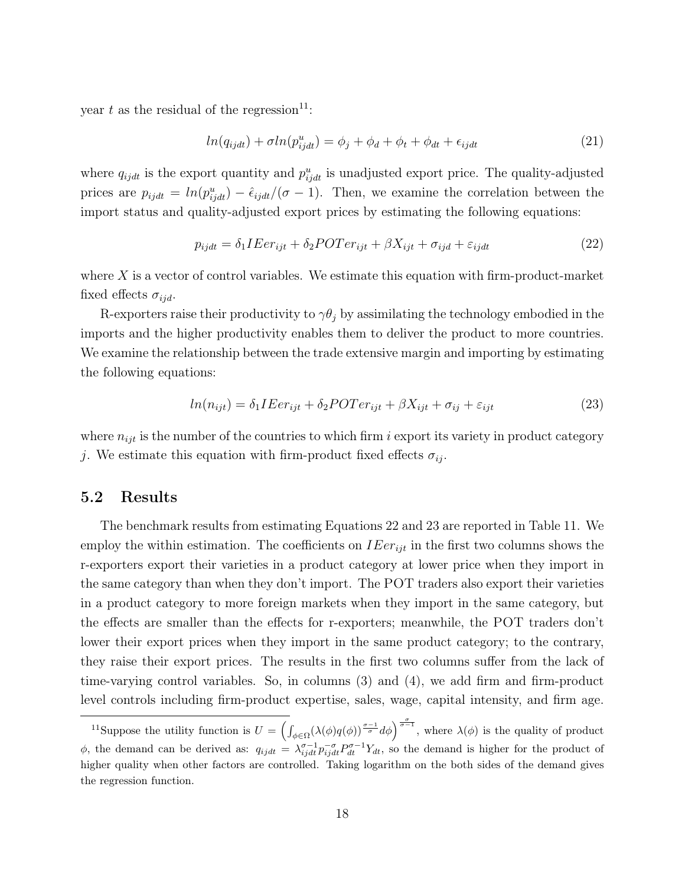year t as the residual of the regression<sup>11</sup>:

$$
ln(q_{ijdt}) + \sigma ln(p_{ijdt}^u) = \phi_j + \phi_d + \phi_t + \phi_{dt} + \epsilon_{ijdt}
$$
\n(21)

where  $q_{ijdt}$  is the export quantity and  $p_{ijdt}^u$  is unadjusted export price. The quality-adjusted prices are  $p_{ijdt} = ln(p_{ijdt}^u) - \hat{\epsilon}_{ijdt}/(\sigma - 1)$ . Then, we examine the correlation between the import status and quality-adjusted export prices by estimating the following equations:

$$
p_{ijdt} = \delta_1 I E e r_{ijt} + \delta_2 P O T e r_{ijt} + \beta X_{ijt} + \sigma_{ijd} + \varepsilon_{ijdt}
$$
\n(22)

where  $X$  is a vector of control variables. We estimate this equation with firm-product-market fixed effects  $\sigma_{iid}$ .

R-exporters raise their productivity to  $\gamma \theta_i$  by assimilating the technology embodied in the imports and the higher productivity enables them to deliver the product to more countries. We examine the relationship between the trade extensive margin and importing by estimating the following equations:

$$
ln(n_{ijt}) = \delta_1 I Eer_{ijt} + \delta_2 POTer_{ijt} + \beta X_{ijt} + \sigma_{ij} + \varepsilon_{ijt}
$$
\n(23)

where  $n_{ijt}$  is the number of the countries to which firm i export its variety in product category j. We estimate this equation with firm-product fixed effects  $\sigma_{ij}$ .

### 5.2 Results

The benchmark results from estimating Equations 22 and 23 are reported in Table 11. We employ the within estimation. The coefficients on  $IEx_{ijt}$  in the first two columns shows the r-exporters export their varieties in a product category at lower price when they import in the same category than when they don't import. The POT traders also export their varieties in a product category to more foreign markets when they import in the same category, but the effects are smaller than the effects for r-exporters; meanwhile, the POT traders don't lower their export prices when they import in the same product category; to the contrary, they raise their export prices. The results in the first two columns suffer from the lack of time-varying control variables. So, in columns (3) and (4), we add firm and firm-product level controls including firm-product expertise, sales, wage, capital intensity, and firm age.

<sup>&</sup>lt;sup>11</sup>Suppose the utility function is  $U = \left(\int_{\phi \in \Omega} (\lambda(\phi)q(\phi))^{\frac{\sigma-1}{\sigma}} d\phi\right)^{\frac{\sigma}{\sigma-1}}$ , where  $\lambda(\phi)$  is the quality of product  $\phi$ , the demand can be derived as:  $q_{ijdt} = \lambda_{ijdt}^{\sigma-1} p_{ijdt}^{-\sigma} p_{dt}^{\sigma-1} Y_{dt}$ , so the demand is higher for the product of higher quality when other factors are controlled. Taking logarithm on the both sides of the demand gives the regression function.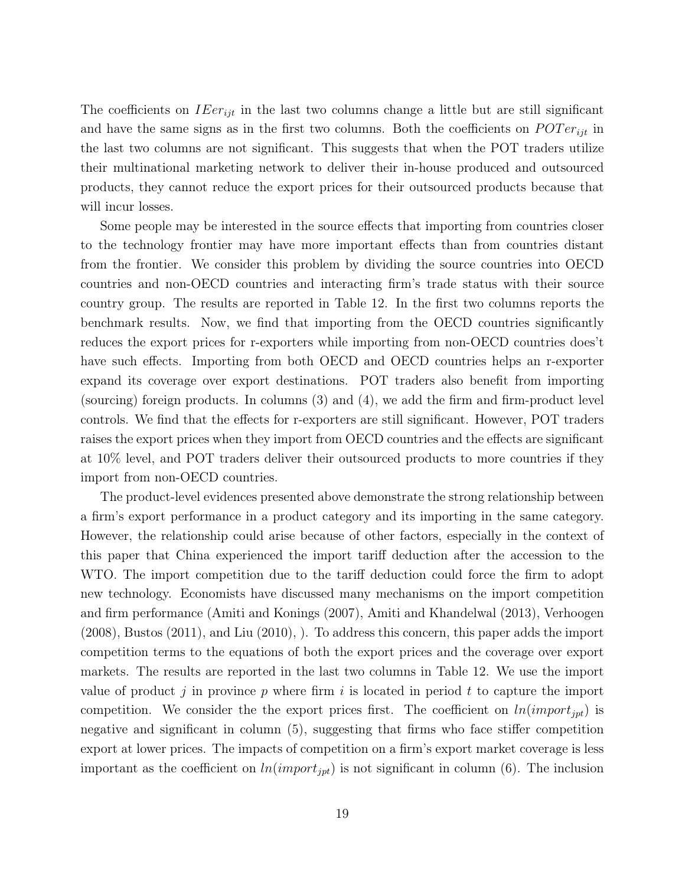The coefficients on  $I\mathit{Eer}_{i\mathit{it}}$  in the last two columns change a little but are still significant and have the same signs as in the first two columns. Both the coefficients on  $POTer_{iit}$  in the last two columns are not significant. This suggests that when the POT traders utilize their multinational marketing network to deliver their in-house produced and outsourced products, they cannot reduce the export prices for their outsourced products because that will incur losses.

Some people may be interested in the source effects that importing from countries closer to the technology frontier may have more important effects than from countries distant from the frontier. We consider this problem by dividing the source countries into OECD countries and non-OECD countries and interacting firm's trade status with their source country group. The results are reported in Table 12. In the first two columns reports the benchmark results. Now, we find that importing from the OECD countries significantly reduces the export prices for r-exporters while importing from non-OECD countries does't have such effects. Importing from both OECD and OECD countries helps an r-exporter expand its coverage over export destinations. POT traders also benefit from importing (sourcing) foreign products. In columns (3) and (4), we add the firm and firm-product level controls. We find that the effects for r-exporters are still significant. However, POT traders raises the export prices when they import from OECD countries and the effects are significant at 10% level, and POT traders deliver their outsourced products to more countries if they import from non-OECD countries.

The product-level evidences presented above demonstrate the strong relationship between a firm's export performance in a product category and its importing in the same category. However, the relationship could arise because of other factors, especially in the context of this paper that China experienced the import tariff deduction after the accession to the WTO. The import competition due to the tariff deduction could force the firm to adopt new technology. Economists have discussed many mechanisms on the import competition and firm performance (Amiti and Konings (2007), Amiti and Khandelwal (2013), Verhoogen (2008), Bustos (2011), and Liu (2010), ). To address this concern, this paper adds the import competition terms to the equations of both the export prices and the coverage over export markets. The results are reported in the last two columns in Table 12. We use the import value of product j in province p where firm i is located in period t to capture the import competition. We consider the the export prices first. The coefficient on  $ln(import_{jpt})$  is negative and significant in column (5), suggesting that firms who face stiffer competition export at lower prices. The impacts of competition on a firm's export market coverage is less important as the coefficient on  $ln(import_{jpt})$  is not significant in column (6). The inclusion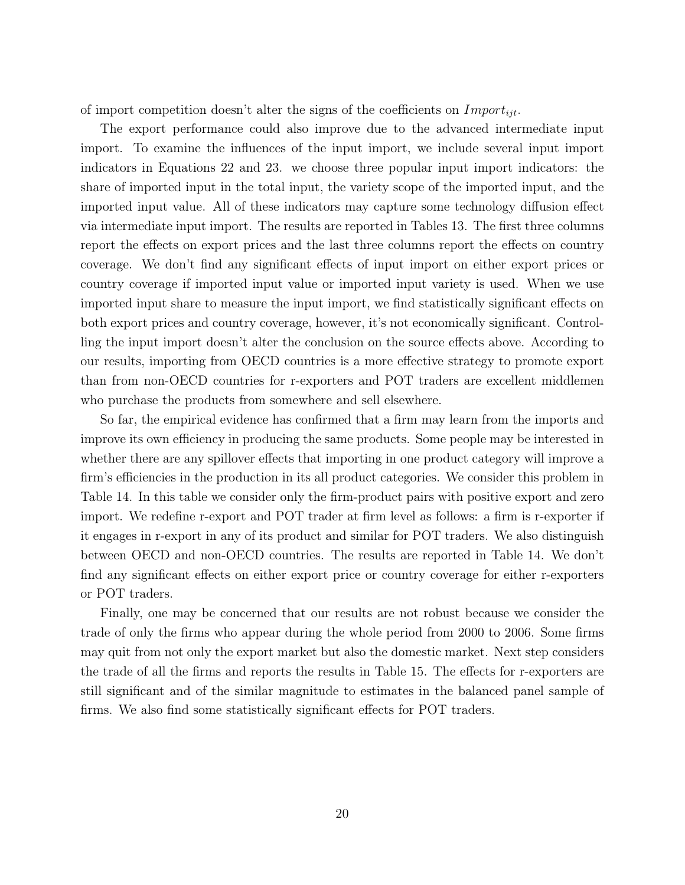of import competition doesn't alter the signs of the coefficients on  $Import_{ijt}$ .

The export performance could also improve due to the advanced intermediate input import. To examine the influences of the input import, we include several input import indicators in Equations 22 and 23. we choose three popular input import indicators: the share of imported input in the total input, the variety scope of the imported input, and the imported input value. All of these indicators may capture some technology diffusion effect via intermediate input import. The results are reported in Tables 13. The first three columns report the effects on export prices and the last three columns report the effects on country coverage. We don't find any significant effects of input import on either export prices or country coverage if imported input value or imported input variety is used. When we use imported input share to measure the input import, we find statistically significant effects on both export prices and country coverage, however, it's not economically significant. Controlling the input import doesn't alter the conclusion on the source effects above. According to our results, importing from OECD countries is a more effective strategy to promote export than from non-OECD countries for r-exporters and POT traders are excellent middlemen who purchase the products from somewhere and sell elsewhere.

So far, the empirical evidence has confirmed that a firm may learn from the imports and improve its own efficiency in producing the same products. Some people may be interested in whether there are any spillover effects that importing in one product category will improve a firm's efficiencies in the production in its all product categories. We consider this problem in Table 14. In this table we consider only the firm-product pairs with positive export and zero import. We redefine r-export and POT trader at firm level as follows: a firm is r-exporter if it engages in r-export in any of its product and similar for POT traders. We also distinguish between OECD and non-OECD countries. The results are reported in Table 14. We don't find any significant effects on either export price or country coverage for either r-exporters or POT traders.

Finally, one may be concerned that our results are not robust because we consider the trade of only the firms who appear during the whole period from 2000 to 2006. Some firms may quit from not only the export market but also the domestic market. Next step considers the trade of all the firms and reports the results in Table 15. The effects for r-exporters are still significant and of the similar magnitude to estimates in the balanced panel sample of firms. We also find some statistically significant effects for POT traders.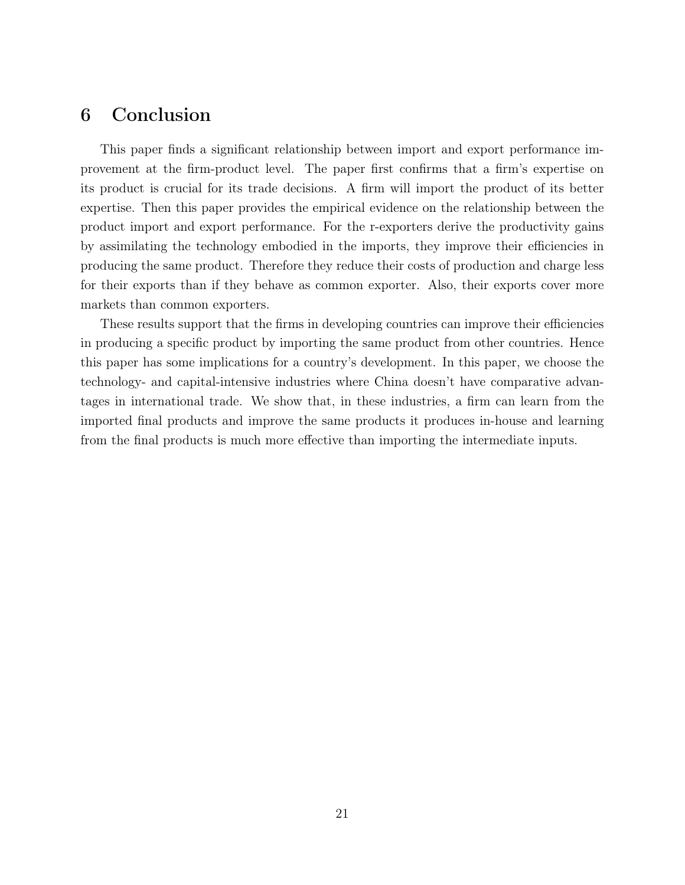# 6 Conclusion

This paper finds a significant relationship between import and export performance improvement at the firm-product level. The paper first confirms that a firm's expertise on its product is crucial for its trade decisions. A firm will import the product of its better expertise. Then this paper provides the empirical evidence on the relationship between the product import and export performance. For the r-exporters derive the productivity gains by assimilating the technology embodied in the imports, they improve their efficiencies in producing the same product. Therefore they reduce their costs of production and charge less for their exports than if they behave as common exporter. Also, their exports cover more markets than common exporters.

These results support that the firms in developing countries can improve their efficiencies in producing a specific product by importing the same product from other countries. Hence this paper has some implications for a country's development. In this paper, we choose the technology- and capital-intensive industries where China doesn't have comparative advantages in international trade. We show that, in these industries, a firm can learn from the imported final products and improve the same products it produces in-house and learning from the final products is much more effective than importing the intermediate inputs.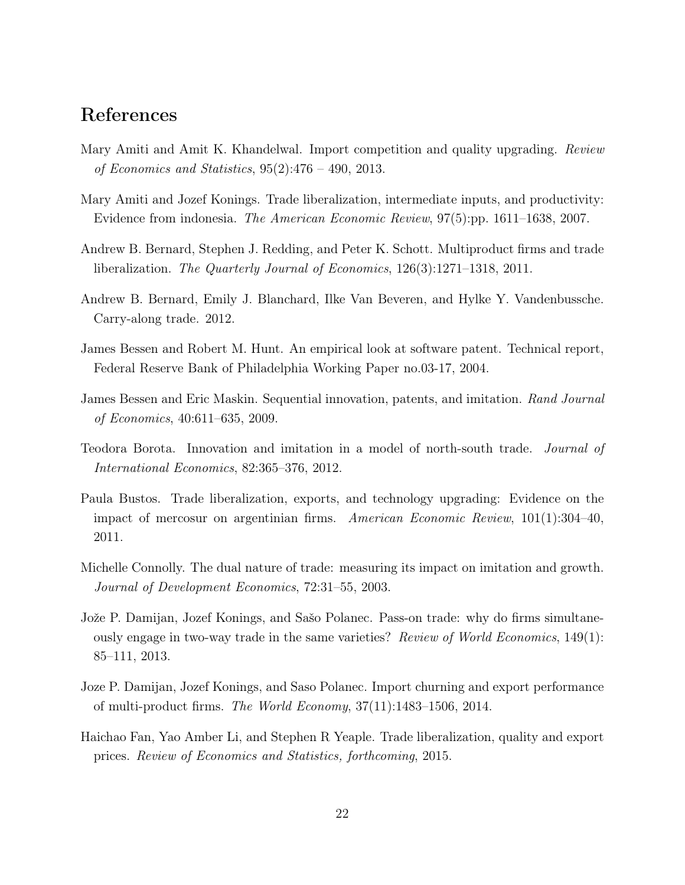# References

- Mary Amiti and Amit K. Khandelwal. Import competition and quality upgrading. Review of Economics and Statistics,  $95(2):476 - 490$ , 2013.
- Mary Amiti and Jozef Konings. Trade liberalization, intermediate inputs, and productivity: Evidence from indonesia. The American Economic Review, 97(5):pp. 1611–1638, 2007.
- Andrew B. Bernard, Stephen J. Redding, and Peter K. Schott. Multiproduct firms and trade liberalization. The Quarterly Journal of Economics, 126(3):1271–1318, 2011.
- Andrew B. Bernard, Emily J. Blanchard, Ilke Van Beveren, and Hylke Y. Vandenbussche. Carry-along trade. 2012.
- James Bessen and Robert M. Hunt. An empirical look at software patent. Technical report, Federal Reserve Bank of Philadelphia Working Paper no.03-17, 2004.
- James Bessen and Eric Maskin. Sequential innovation, patents, and imitation. Rand Journal of Economics, 40:611–635, 2009.
- Teodora Borota. Innovation and imitation in a model of north-south trade. Journal of International Economics, 82:365–376, 2012.
- Paula Bustos. Trade liberalization, exports, and technology upgrading: Evidence on the impact of mercosur on argentinian firms. American Economic Review, 101(1):304–40, 2011.
- Michelle Connolly. The dual nature of trade: measuring its impact on imitation and growth. Journal of Development Economics, 72:31–55, 2003.
- Jože P. Damijan, Jozef Konings, and Sašo Polanec. Pass-on trade: why do firms simultaneously engage in two-way trade in the same varieties? Review of World Economics,  $149(1)$ : 85–111, 2013.
- Joze P. Damijan, Jozef Konings, and Saso Polanec. Import churning and export performance of multi-product firms. The World Economy, 37(11):1483–1506, 2014.
- Haichao Fan, Yao Amber Li, and Stephen R Yeaple. Trade liberalization, quality and export prices. Review of Economics and Statistics, forthcoming, 2015.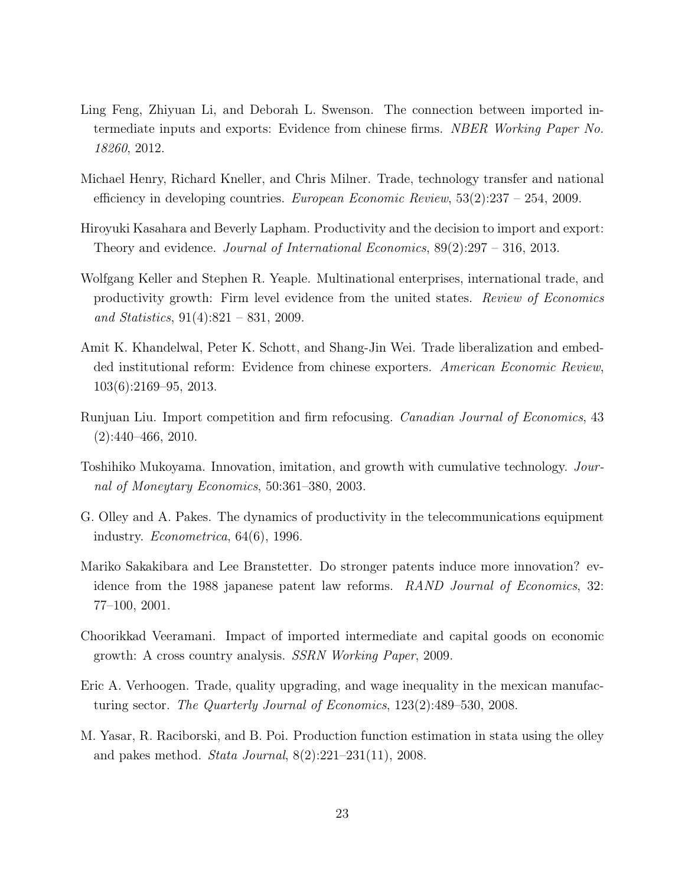- Ling Feng, Zhiyuan Li, and Deborah L. Swenson. The connection between imported intermediate inputs and exports: Evidence from chinese firms. NBER Working Paper No. 18260, 2012.
- Michael Henry, Richard Kneller, and Chris Milner. Trade, technology transfer and national efficiency in developing countries. European Economic Review,  $53(2):237 - 254$ , 2009.
- Hiroyuki Kasahara and Beverly Lapham. Productivity and the decision to import and export: Theory and evidence. *Journal of International Economics*,  $89(2):297 - 316$ , 2013.
- Wolfgang Keller and Stephen R. Yeaple. Multinational enterprises, international trade, and productivity growth: Firm level evidence from the united states. Review of Economics and Statistics,  $91(4):821 - 831$ , 2009.
- Amit K. Khandelwal, Peter K. Schott, and Shang-Jin Wei. Trade liberalization and embedded institutional reform: Evidence from chinese exporters. American Economic Review, 103(6):2169–95, 2013.
- Runjuan Liu. Import competition and firm refocusing. Canadian Journal of Economics, 43  $(2):440-466, 2010.$
- Toshihiko Mukoyama. Innovation, imitation, and growth with cumulative technology. Journal of Moneytary Economics, 50:361–380, 2003.
- G. Olley and A. Pakes. The dynamics of productivity in the telecommunications equipment industry. Econometrica, 64(6), 1996.
- Mariko Sakakibara and Lee Branstetter. Do stronger patents induce more innovation? evidence from the 1988 japanese patent law reforms. RAND Journal of Economics, 32: 77–100, 2001.
- Choorikkad Veeramani. Impact of imported intermediate and capital goods on economic growth: A cross country analysis. SSRN Working Paper, 2009.
- Eric A. Verhoogen. Trade, quality upgrading, and wage inequality in the mexican manufacturing sector. The Quarterly Journal of Economics, 123(2):489–530, 2008.
- M. Yasar, R. Raciborski, and B. Poi. Production function estimation in stata using the olley and pakes method. Stata Journal, 8(2):221–231(11), 2008.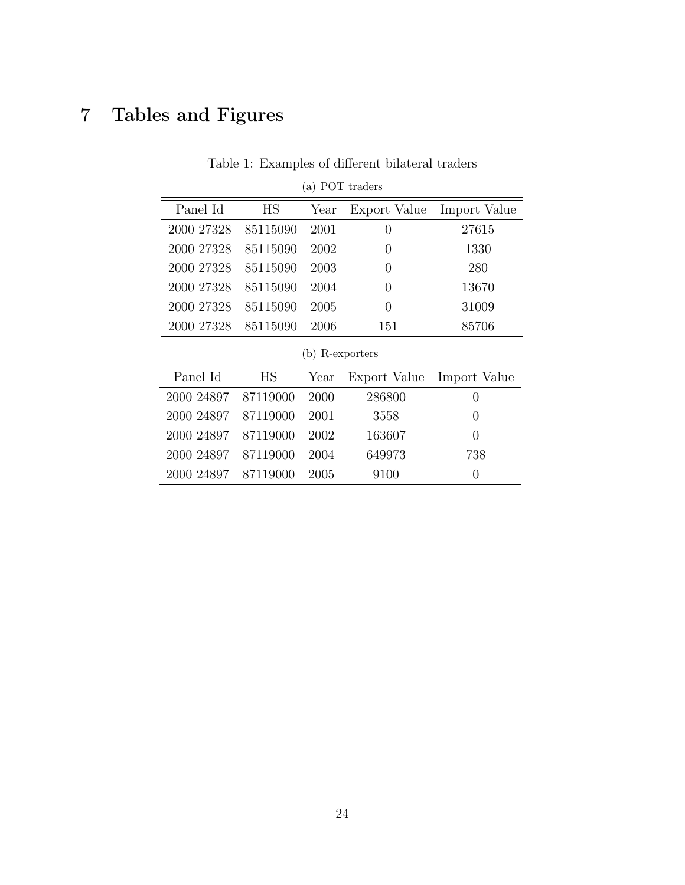# 7 Tables and Figures

| a) POT traders |          |                 |              |                  |  |  |  |  |  |
|----------------|----------|-----------------|--------------|------------------|--|--|--|--|--|
| Panel Id       | HS       | Year            | Export Value | Import Value     |  |  |  |  |  |
| 2000 27328     | 85115090 | 2001            | $\Omega$     | 27615            |  |  |  |  |  |
| 2000 27328     | 85115090 | 2002            | 0            | 1330             |  |  |  |  |  |
| 2000 27328     | 85115090 | 2003            | $\Omega$     | 280              |  |  |  |  |  |
| 2000 27328     | 85115090 | 2004            | 0            | 13670            |  |  |  |  |  |
| 2000 27328     | 85115090 | 2005            | $\theta$     | 31009            |  |  |  |  |  |
| 2000 27328     | 85115090 | 2006            | 151          | 85706            |  |  |  |  |  |
|                |          | (b) R-exporters |              |                  |  |  |  |  |  |
| Panel Id       | HS       | Year            | Export Value | Import Value     |  |  |  |  |  |
| 2000 24897     | 87119000 | 2000            | 286800       | 0                |  |  |  |  |  |
| 2000 24897     | 87119000 | 2001            | 3558         | $\left( \right)$ |  |  |  |  |  |
| 2000 24897     | 87119000 | 2002            | 163607       | $\Omega$         |  |  |  |  |  |
|                |          |                 |              |                  |  |  |  |  |  |
| 2000 24897     | 87119000 | 2004            | 649973       | 738              |  |  |  |  |  |

## Table 1: Examples of different bilateral traders

(a)  $\overline{POT}$  trade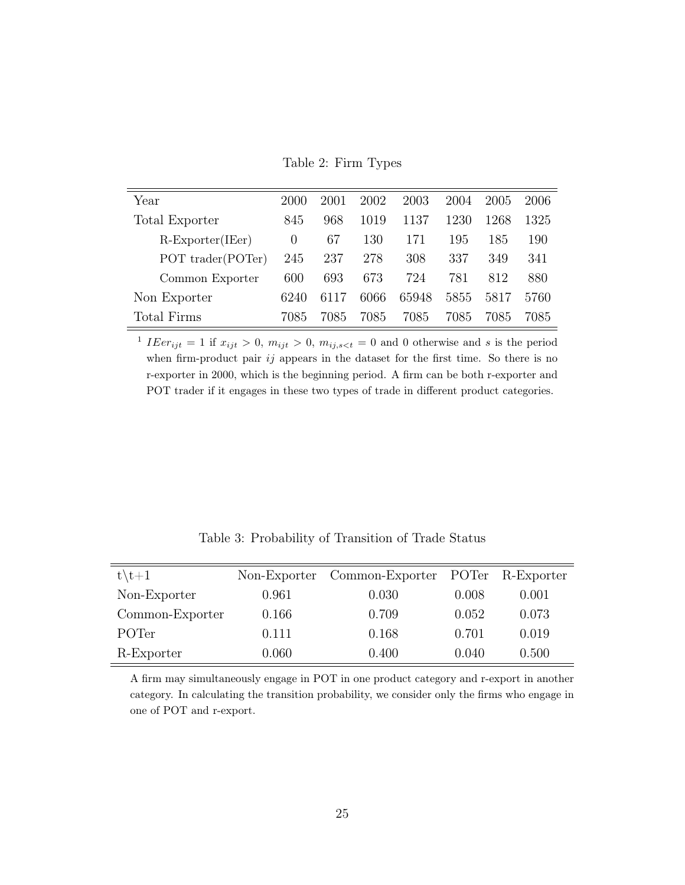Table 2: Firm Types

| Year                | 2000   | 2001 | 2002 | 2003  | 2004 | 2005 | 2006 |
|---------------------|--------|------|------|-------|------|------|------|
| Total Exporter      | 845    | 968  | 1019 | 1137  | 1230 | 1268 | 1325 |
| $R$ -Exporter(IEer) | $\cup$ | 67   | 130  | 171   | 195  | 185  | 190  |
| POT trader(POTer)   | 245    | 237  | 278  | 308   | 337  | 349  | 341  |
| Common Exporter     | 600    | 693  | 673  | 724   | 781  | 812  | 880  |
| Non Exporter        | 6240   | 6117 | 6066 | 65948 | 5855 | 5817 | 5760 |
| Total Firms         | 7085   | 7085 | 7085 | 7085  | 7085 | 7085 | 7085 |

<sup>1</sup> IEer<sub>ijt</sub> = 1 if  $x_{ijt} > 0$ ,  $m_{ijt} > 0$ ,  $m_{ij,s < t} = 0$  and 0 otherwise and s is the period when firm-product pair  $ij$  appears in the dataset for the first time. So there is no r-exporter in 2000, which is the beginning period. A firm can be both r-exporter and POT trader if it engages in these two types of trade in different product categories.

Table 3: Probability of Transition of Trade Status

| $t\backslash t+1$ |           | Non-Exporter Common-Exporter |       | POTer R-Exporter |
|-------------------|-----------|------------------------------|-------|------------------|
| Non-Exporter      | 0.961     | 0.030                        | 0.008 | 0.001            |
| Common-Exporter   | 0.166     | 0.709                        | 0.052 | 0.073            |
| POTer             | 0.111     | 0.168                        | 0.701 | 0.019            |
| R-Exporter        | $0.060\,$ | 0.400                        | 0.040 | 0.500            |

A firm may simultaneously engage in POT in one product category and r-export in another category. In calculating the transition probability, we consider only the firms who engage in one of POT and r-export.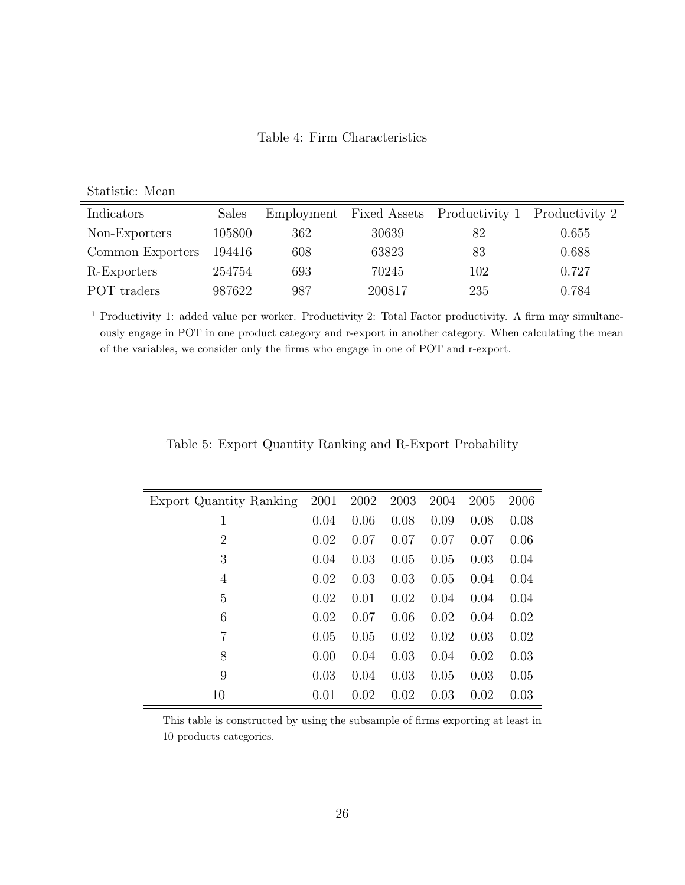Table 4: Firm Characteristics

Statistic: Mean

| Indicators         | <b>Sales</b> | Employment |        | Fixed Assets Productivity 1 | Productivity 2 |
|--------------------|--------------|------------|--------|-----------------------------|----------------|
|                    |              |            |        |                             |                |
| Non-Exporters      | 105800       | 362        | 30639  | 82                          | 0.655          |
| Common Exporters   | 194416       | 608        | 63823  | 83                          | 0.688          |
| R-Exporters        | 254754       | 693        | 70245  | 102                         | 0.727          |
| <b>POT</b> traders | 987622       | 987        | 200817 | 235                         | 0.784          |

<sup>1</sup> Productivity 1: added value per worker. Productivity 2: Total Factor productivity. A firm may simultaneously engage in POT in one product category and r-export in another category. When calculating the mean of the variables, we consider only the firms who engage in one of POT and r-export.

| Export Quantity Ranking 2001 2002 2003 2004 2005 2006 |          |          |      |                                    |                      |  |
|-------------------------------------------------------|----------|----------|------|------------------------------------|----------------------|--|
|                                                       | 0.04     |          |      | $0.06$ $0.08$ $0.09$ $0.08$ $0.08$ |                      |  |
| $\mathcal{L}$                                         | $0.02 -$ |          |      | $0.07$ $0.07$ $0.07$ $0.07$ $0.06$ |                      |  |
| 3                                                     | (1.04)   | $0.03 -$ |      | $0.05$ $0.05$ $0.03$ $0.04$        |                      |  |
|                                                       | 0.02     | 0.03     | 0.03 |                                    | $0.05$ $0.04$ $0.04$ |  |

5 0.02 0.01 0.02 0.04 0.04 0.04 6 0.02 0.07 0.06 0.02 0.04 0.02 7 0.05 0.05 0.02 0.02 0.03 0.02 8 0.00 0.04 0.03 0.04 0.02 0.03 9 0.03 0.04 0.03 0.05 0.03 0.05  $10+$  0.01 0.02 0.02 0.03 0.02 0.03

Table 5: Export Quantity Ranking and R-Export Probability

This table is constructed by using the subsample of firms exporting at least in 10 products categories.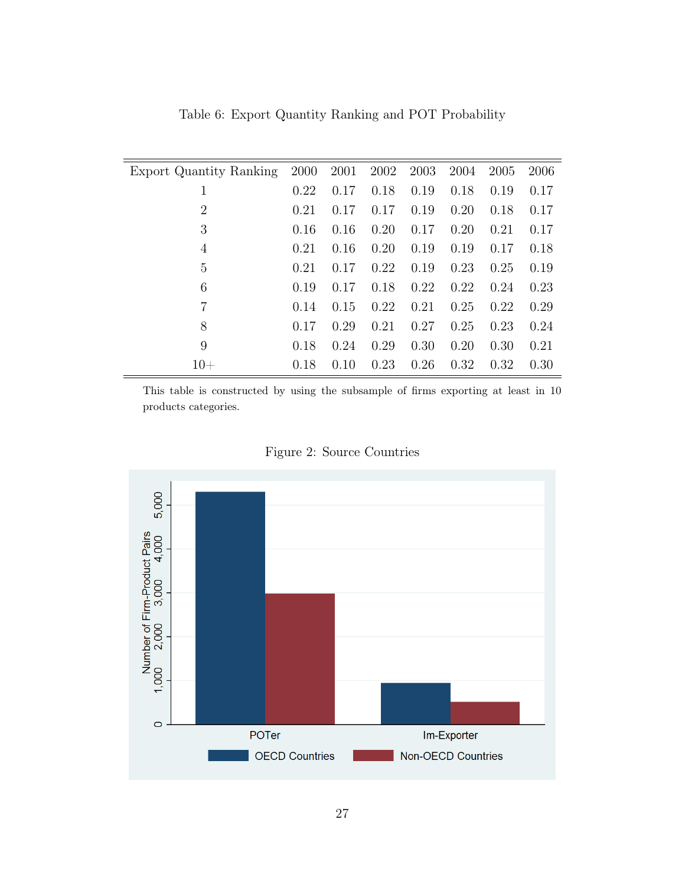| Export Quantity Ranking | 2000 | 2001 | 2002 | 2003 | 2004 | 2005 | 2006 |
|-------------------------|------|------|------|------|------|------|------|
| 1                       | 0.22 | 0.17 | 0.18 | 0.19 | 0.18 | 0.19 | 0.17 |
| 2                       | 0.21 | 0.17 | 0.17 | 0.19 | 0.20 | 0.18 | 0.17 |
| 3                       | 0.16 | 0.16 | 0.20 | 0.17 | 0.20 | 0.21 | 0.17 |
| 4                       | 0.21 | 0.16 | 0.20 | 0.19 | 0.19 | 0.17 | 0.18 |
| 5                       | 0.21 | 0.17 | 0.22 | 0.19 | 0.23 | 0.25 | 0.19 |
| 6                       | 0.19 | 0.17 | 0.18 | 0.22 | 0.22 | 0.24 | 0.23 |
| 7                       | 0.14 | 0.15 | 0.22 | 0.21 | 0.25 | 0.22 | 0.29 |
| 8                       | 0.17 | 0.29 | 0.21 | 0.27 | 0.25 | 0.23 | 0.24 |
| 9                       | 0.18 | 0.24 | 0.29 | 0.30 | 0.20 | 0.30 | 0.21 |
| $10 +$                  | 0.18 | 0.10 | 0.23 | 0.26 | 0.32 | 0.32 | 0.30 |

Table 6: Export Quantity Ranking and POT Probability

This table is constructed by using the subsample of firms exporting at least in 10 products categories.



Figure 2: Source Countries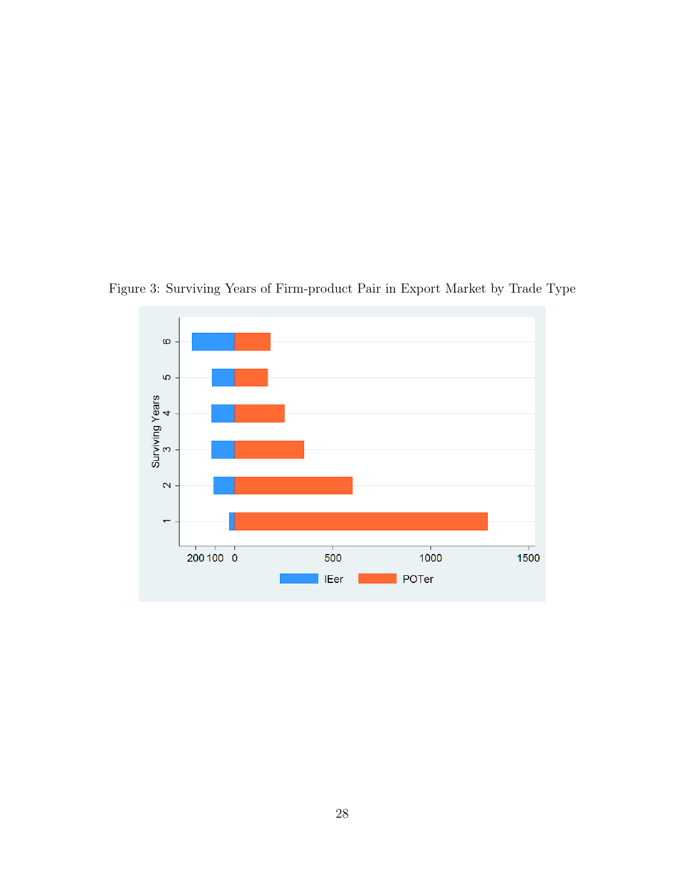

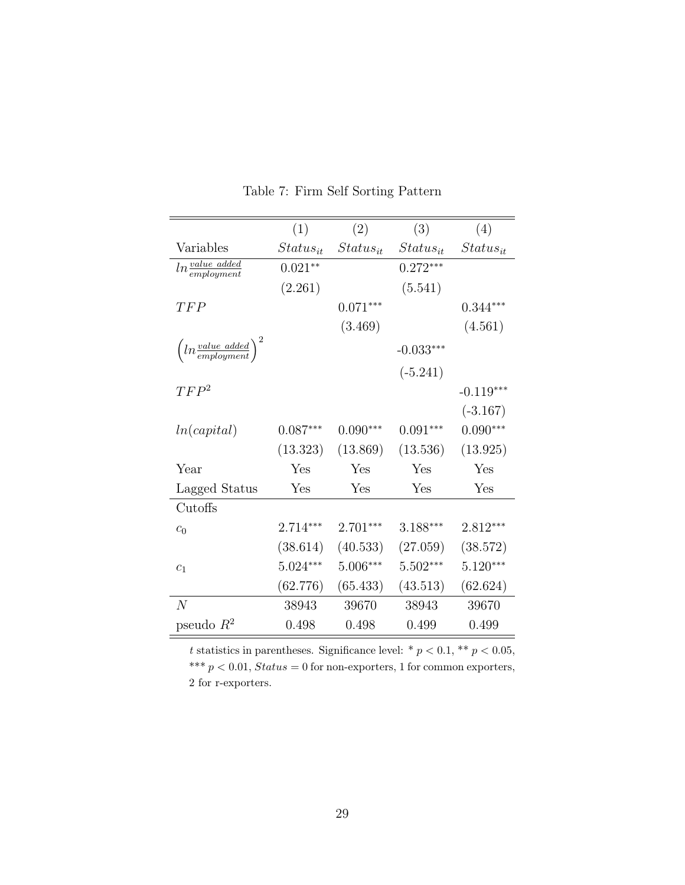|                                                      | (1)           | (2)           | (3)           | (4)           |
|------------------------------------------------------|---------------|---------------|---------------|---------------|
|                                                      |               |               |               |               |
| Variables                                            | $Status_{it}$ | $Status_{it}$ | $Status_{it}$ | $Status_{it}$ |
| $ln \frac{value \ added}{emptyment}$                 | $0.021**$     |               | $0.272***$    |               |
|                                                      | (2.261)       |               | (5.541)       |               |
| TFP                                                  |               | $0.071***$    |               | $0.344***$    |
|                                                      |               | (3.469)       |               | (4.561)       |
| $\left(\ln \frac{value \ added}{emptyment}\right)^2$ |               |               | $-0.033***$   |               |
|                                                      |               |               | $(-5.241)$    |               |
| $TFP^2$                                              |               |               |               | $-0.119***$   |
|                                                      |               |               |               | $(-3.167)$    |
| ln(capital)                                          | $0.087***$    | $0.090***$    | $0.091***$    | $0.090***$    |
|                                                      | (13.323)      | (13.869)      | (13.536)      | (13.925)      |
| Year                                                 | Yes           | Yes           | Yes           | Yes           |
| Lagged Status                                        | Yes           | Yes           | Yes           | Yes           |
| Cutoffs                                              |               |               |               |               |
| $c_0$                                                | $2.714***$    | $2.701***$    | $3.188***$    | $2.812***$    |
|                                                      | (38.614)      | (40.533)      | (27.059)      | (38.572)      |
| c <sub>1</sub>                                       | $5.024***$    | $5.006***$    | $5.502***$    | $5.120***$    |
|                                                      | (62.776)      | (65.433)      | (43.513)      | (62.624)      |
| N                                                    | 38943         | 39670         | 38943         | 39670         |
| pseudo $R^2$                                         | 0.498         | 0.498         | 0.499         | 0.499         |

Table 7: Firm Self Sorting Pattern

 $t$  statistics in parentheses. Significance level: \*  $p < 0.1,$  \*\*  $p < 0.05,$ \*\*\* $p < 0.01, \textit{Status} = 0$  for non-exporters, 1 for common exporters, 2 for r-exporters.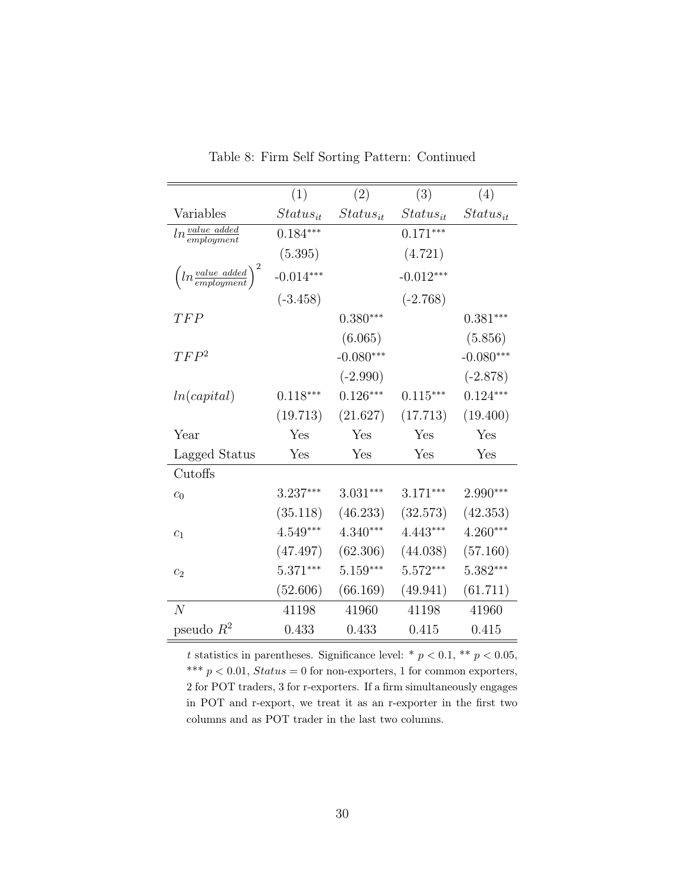|                                                      | (1)           | (2)           | (3)           | (4)           |
|------------------------------------------------------|---------------|---------------|---------------|---------------|
| Variables                                            | $Status_{it}$ | $Status_{it}$ | $Status_{it}$ | $Status_{it}$ |
| $ln \frac{value \text{ added}}{emptyment}$           | $0.184***$    |               | $0.171***$    |               |
|                                                      | (5.395)       |               | (4.721)       |               |
| $\left(\ln \frac{value\; added}{emptyment}\right)^2$ | $-0.014***$   |               | $-0.012***$   |               |
|                                                      | $(-3.458)$    |               | $(-2.768)$    |               |
| TFP                                                  |               | $0.380***$    |               | $0.381***$    |
|                                                      |               | (6.065)       |               | (5.856)       |
| $TFP^2$                                              |               | $-0.080***$   |               | $-0.080***$   |
|                                                      |               | $(-2.990)$    |               | $(-2.878)$    |
| ln(capital)                                          | $0.118***$    | $0.126***$    | $0.115***$    | $0.124***$    |
|                                                      | (19.713)      | (21.627)      | (17.713)      | (19.400)      |
| Year                                                 | Yes           | Yes           | Yes           | Yes           |
| Lagged Status                                        | Yes           | Yes           | Yes           | Yes           |
| Cutoffs                                              |               |               |               |               |
| $c_0$                                                | 3.237***      | $3.031***$    | $3.171***$    | $2.990***$    |
|                                                      | (35.118)      | (46.233)      | (32.573)      | (42.353)      |
| c <sub>1</sub>                                       | $4.549***$    | $4.340***$    | $4.443***$    | $4.260***$    |
|                                                      | (47.497)      | (62.306)      | (44.038)      | (57.160)      |
| $c_2$                                                | $5.371***$    | $5.159***$    | $5.572***$    | $5.382***$    |
|                                                      | (52.606)      | (66.169)      | (49.941)      | (61.711)      |
| N                                                    | 41198         | 41960         | 41198         | 41960         |
| pseudo $R^2$                                         | 0.433         | 0.433         | 0.415         | 0.415         |

Table 8: Firm Self Sorting Pattern: Continued

t statistics in parentheses. Significance level: \*  $p < 0.1$ , \*\*  $p < 0.05$ , \*\*\*  $p < 0.01$ ,  $Status = 0$  for non-exporters, 1 for common exporters, 2 for POT traders, 3 for r-exporters. If a firm simultaneously engages in POT and r-export, we treat it as an r-exporter in the first two columns and as POT trader in the last two columns.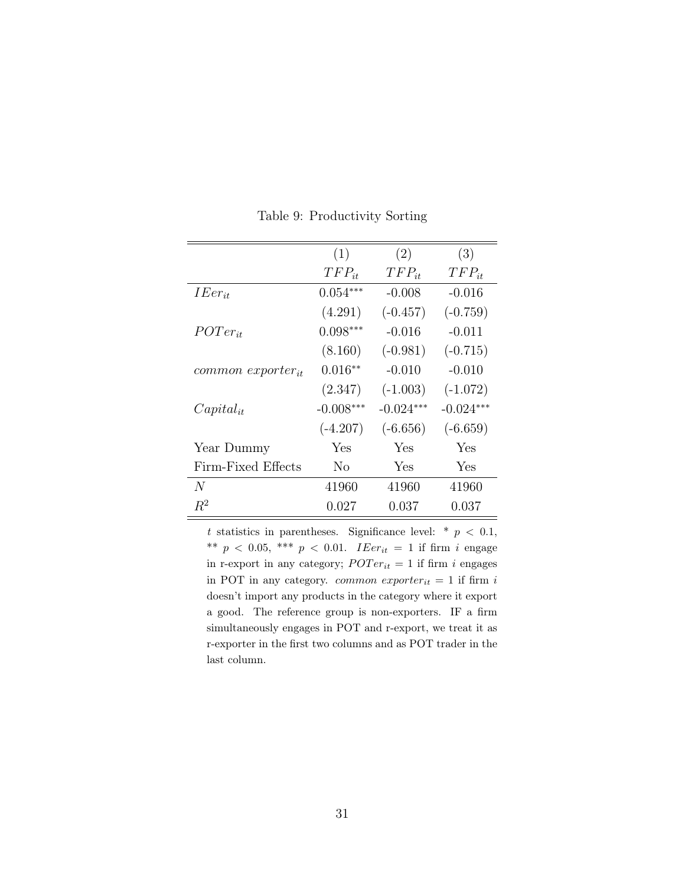|                                       | (1)         | (2)         | (3)         |
|---------------------------------------|-------------|-------------|-------------|
|                                       | $TFP_{it}$  | $TFP_{it}$  | $TFP_{it}$  |
| $IEer_{it}$                           | $0.054***$  | $-0.008$    | $-0.016$    |
|                                       | (4.291)     | $(-0.457)$  | $(-0.759)$  |
| $POTer_{it}$                          | $0.098***$  | $-0.016$    | $-0.011$    |
|                                       | (8.160)     | $(-0.981)$  | $(-0.715)$  |
| $common \, \, \textit{exporter}_{it}$ | $0.016**$   | $-0.010$    | $-0.010$    |
|                                       | (2.347)     | $(-1.003)$  | $(-1.072)$  |
| $Capital_{it}$                        | $-0.008***$ | $-0.024***$ | $-0.024***$ |
|                                       | $(-4.207)$  | $(-6.656)$  | $(-6.659)$  |
| Year Dummy                            | Yes         | Yes         | Yes         |
| Firm-Fixed Effects                    | $\rm No$    | Yes         | Yes         |
| N                                     | 41960       | 41960       | 41960       |
| $R^2$                                 | 0.027       | 0.037       | 0.037       |

Table 9: Productivity Sorting

t statistics in parentheses. Significance level: \*  $p < 0.1$ , \*\*  $p \, < \, 0.05,$  \*\*\*  $p \, < \, 0.01.$  IEe $r_{it} = 1$  if firm i engage in r-export in any category;  $POTer_{it} = 1$  if firm i engages in POT in any category. *common exporter*<sub>it</sub> = 1 if firm i doesn't import any products in the category where it export a good. The reference group is non-exporters. IF a firm simultaneously engages in POT and r-export, we treat it as r-exporter in the first two columns and as POT trader in the last column.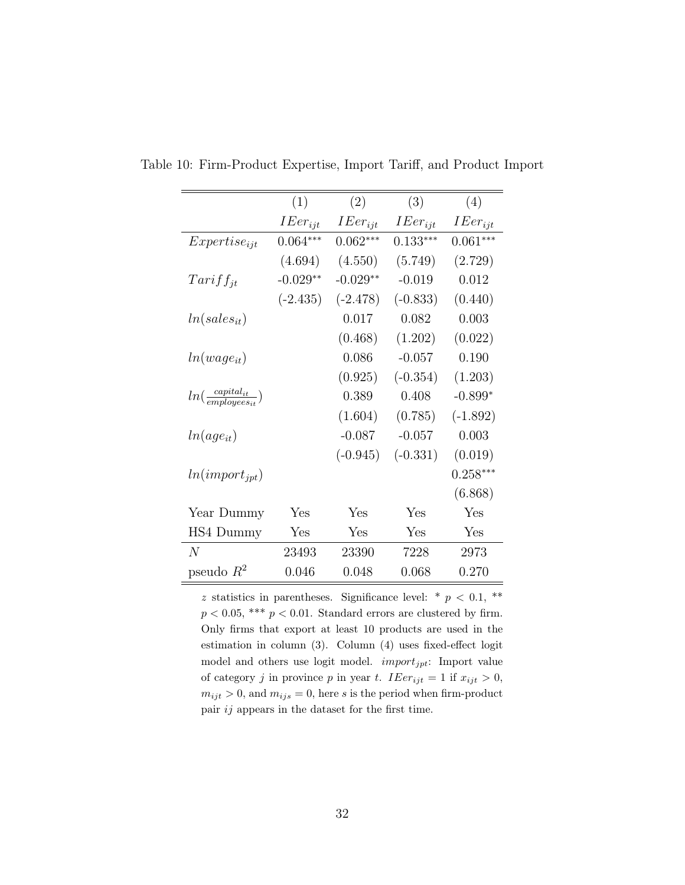|                                           | (1)          | (2)          | (3)          | (4)          |
|-------------------------------------------|--------------|--------------|--------------|--------------|
|                                           | $IEer_{ijt}$ | $IEer_{ijt}$ | $IEer_{ijt}$ | $IEer_{ijt}$ |
| $Expertise_{ijt}$                         | $0.064***$   | $0.062***$   | $0.133***$   | $0.061***$   |
|                                           | (4.694)      | (4.550)      | (5.749)      | (2.729)      |
| $Tariff_{it}$                             | $-0.029**$   | $-0.029**$   | $-0.019$     | 0.012        |
|                                           | $(-2.435)$   | $(-2.478)$   | $(-0.833)$   | (0.440)      |
| $ln(sales_{it})$                          |              | 0.017        | 0.082        | 0.003        |
|                                           |              | (0.468)      | (1.202)      | (0.022)      |
| $ln(wage_{it})$                           |              | 0.086        | $-0.057$     | 0.190        |
|                                           |              | (0.925)      | $(-0.354)$   | (1.203)      |
| $ln(\frac{capital_{it}}{emplouees_{it}})$ |              | 0.389        | 0.408        | $-0.899*$    |
|                                           |              | (1.604)      | (0.785)      | $(-1.892)$   |
| $ln(age_{it})$                            |              | $-0.087$     | $-0.057$     | 0.003        |
|                                           |              | $(-0.945)$   | $(-0.331)$   | (0.019)      |
| $ln(import_{jpt})$                        |              |              |              | $0.258***$   |
|                                           |              |              |              | (6.868)      |
| Year Dummy                                | Yes          | Yes          | Yes          | Yes          |
| HS4 Dummy                                 | Yes          | Yes          | Yes          | Yes          |
| N                                         | 23493        | 23390        | 7228         | 2973         |
| pseudo $R^2$                              | 0.046        | 0.048        | 0.068        | 0.270        |

Table 10: Firm-Product Expertise, Import Tariff, and Product Import

z statistics in parentheses. Significance level: \*  $p < 0.1$ , \*\*  $p < 0.05$ , \*\*\*  $p < 0.01$ . Standard errors are clustered by firm. Only firms that export at least 10 products are used in the estimation in column (3). Column (4) uses fixed-effect logit model and others use logit model.  $import_{jpt}$ : Import value of category j in province p in year t.  $I{Eer}_{ijt} = 1$  if  $x_{ijt} > 0$ ,  $m_{ijt} > 0$ , and  $m_{ijs} = 0$ , here s is the period when firm-product pair  $ij$  appears in the dataset for the first time.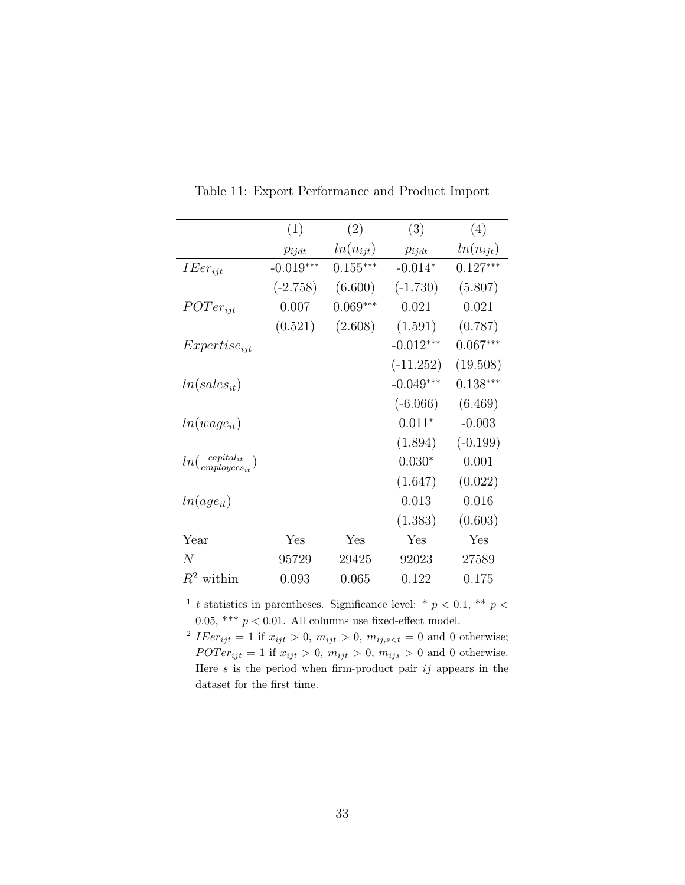|                                         | (1)         | (2)           | (3)         | (4)           |
|-----------------------------------------|-------------|---------------|-------------|---------------|
|                                         | $p_{ijdt}$  | $ln(n_{ijt})$ | $p_{ijdt}$  | $ln(n_{ijt})$ |
| $IEer_{ijt}$                            | $-0.019***$ | $0.155***$    | $-0.014*$   | $0.127***$    |
|                                         | $(-2.758)$  | (6.600)       | $(-1.730)$  | (5.807)       |
| $POTer_{ijt}$                           | 0.007       | $0.069***$    | 0.021       | 0.021         |
|                                         | (0.521)     | (2.608)       | (1.591)     | (0.787)       |
| $Expertise_{ijt}$                       |             |               | $-0.012***$ | $0.067***$    |
|                                         |             |               | $(-11.252)$ | (19.508)      |
| $ln(sales_{it})$                        |             |               | $-0.049***$ | $0.138***$    |
|                                         |             |               | $(-6.066)$  | (6.469)       |
| $ln(wage_{it})$                         |             |               | $0.011*$    | $-0.003$      |
|                                         |             |               | (1.894)     | $(-0.199)$    |
| $ln(\frac{capital_{it}}{emplanes_{u}})$ |             |               | $0.030*$    | 0.001         |
|                                         |             |               | (1.647)     | (0.022)       |
| $ln(age_{it})$                          |             |               | 0.013       | 0.016         |
|                                         |             |               | (1.383)     | (0.603)       |
| Year                                    | Yes         | Yes           | Yes         | Yes           |
| N                                       | 95729       | 29425         | 92023       | 27589         |
| $R^2$ within                            | 0.093       | 0.065         | 0.122       | 0.175         |

Table 11: Export Performance and Product Import

<sup>1</sup> t statistics in parentheses. Significance level: \*  $p < 0.1$ , \*\*  $p <$ 0.05, \*\*\*  $p < 0.01$ . All columns use fixed-effect model.

<sup>2</sup> IEe $r_{ijt} = 1$  if  $x_{ijt} > 0$ ,  $m_{ijt} > 0$ ,  $m_{ij, s < t} = 0$  and 0 otherwise;  $POTer_{ijt} = 1$  if  $x_{ijt} > 0$ ,  $m_{ijt} > 0$ ,  $m_{ijs} > 0$  and 0 otherwise. Here  $s$  is the period when firm-product pair  $ij$  appears in the dataset for the first time.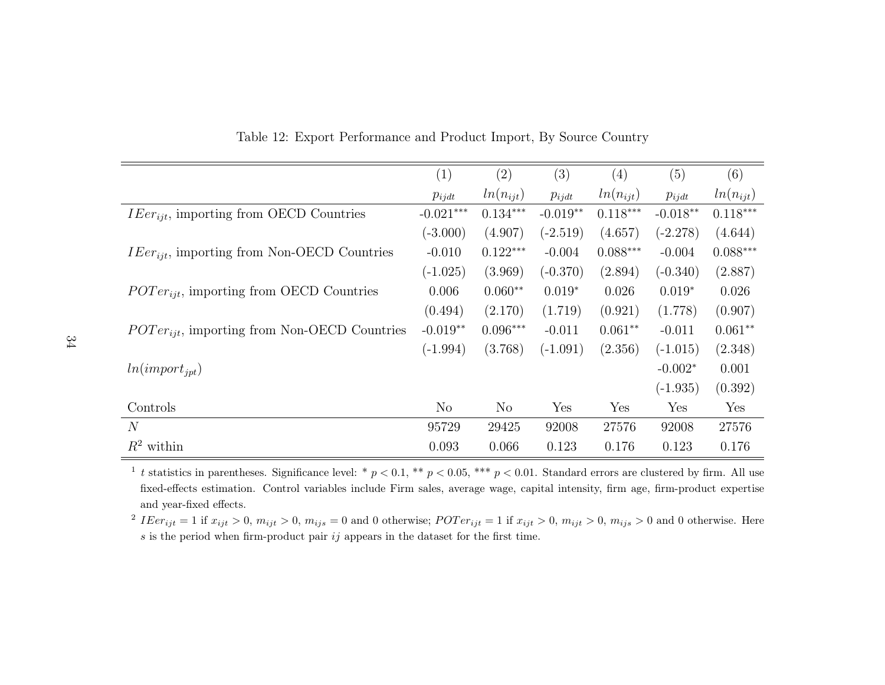|                                                       | (1)            | (2)           | (3)        | (4)           | (5)        | (6)           |
|-------------------------------------------------------|----------------|---------------|------------|---------------|------------|---------------|
|                                                       | $p_{ijdt}$     | $ln(n_{ijt})$ | $p_{ijdt}$ | $ln(n_{ijt})$ | $p_{ijdt}$ | $ln(n_{ijt})$ |
| $I\mathit{Eer}_{iit}$ , importing from OECD Countries | $-0.021***$    | $0.134***$    | $-0.019**$ | $0.118***$    | $-0.018**$ | $0.118***$    |
|                                                       | $(-3.000)$     | (4.907)       | $(-2.519)$ | (4.657)       | $(-2.278)$ | (4.644)       |
| $IEer_{iit}$ , importing from Non-OECD Countries      | $-0.010$       | $0.122***$    | $-0.004$   | $0.088***$    | $-0.004$   | $0.088***$    |
|                                                       | $(-1.025)$     | (3.969)       | $(-0.370)$ | (2.894)       | $(-0.340)$ | (2.887)       |
| $POTer_{iit}$ , importing from OECD Countries         | 0.006          | $0.060**$     | $0.019*$   | 0.026         | $0.019*$   | 0.026         |
|                                                       | (0.494)        | (2.170)       | (1.719)    | (0.921)       | (1.778)    | (0.907)       |
| $POTer_{iit}$ , importing from Non-OECD Countries     | $-0.019**$     | $0.096***$    | $-0.011$   | $0.061**$     | $-0.011$   | $0.061**$     |
|                                                       | $(-1.994)$     | (3.768)       | $(-1.091)$ | (2.356)       | $(-1.015)$ | (2.348)       |
| $ln(import_{jpt})$                                    |                |               |            |               | $-0.002*$  | 0.001         |
|                                                       |                |               |            |               | $(-1.935)$ | (0.392)       |
| Controls                                              | N <sub>o</sub> | $\rm No$      | Yes        | Yes           | Yes        | Yes           |
| $\overline{N}$                                        | 95729          | 29425         | 92008      | 27576         | 92008      | 27576         |
| $R^2$ within                                          | 0.093          | 0.066         | 0.123      | 0.176         | 0.123      | 0.176         |

Table 12: Export Performance and Product Import, By Source Country

<sup>1</sup> t statistics in parentheses. Significance level: \*  $p < 0.1$ , \*\*  $p < 0.05$ , \*\*\*  $p < 0.01$ . Standard errors are clustered by firm. All use fixed-effects estimation. Control variables include Firm sales, average wage, capital intensity, firm age, firm-product expertiseand year-fixed effects.

<sup>2</sup> IEer<sub>ijt</sub> = 1 if  $x_{ijt} > 0$ ,  $m_{ijt} > 0$ ,  $m_{ijs} = 0$  and 0 otherwise;  $POTer_{ijt} = 1$  if  $x_{ijt} > 0$ ,  $m_{ijt} > 0$ ,  $m_{ijs} > 0$  and 0 otherwise. Here  $s$  is the period when firm-product pair  $ij$  appears in the dataset for the first time.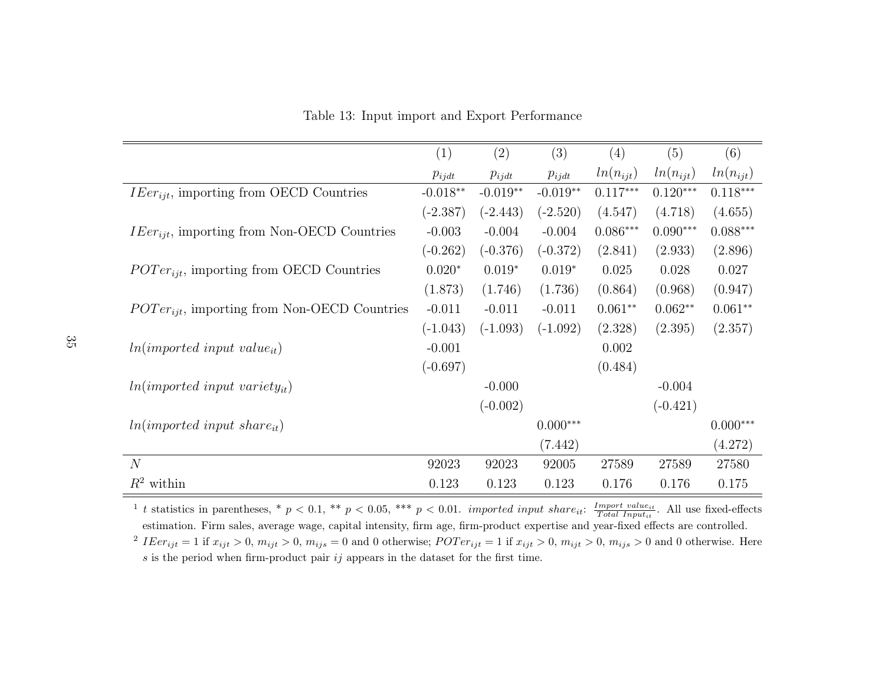|                                                   | (1)        | (2)        | (3)        | (4)           | (5)           | (6)           |
|---------------------------------------------------|------------|------------|------------|---------------|---------------|---------------|
|                                                   | $p_{ijdt}$ | $p_{ijdt}$ | $p_{ijdt}$ | $ln(n_{ijt})$ | $ln(n_{ijt})$ | $ln(n_{ijt})$ |
| $IEer_{ijt}$ , importing from OECD Countries      | $-0.018**$ | $-0.019**$ | $-0.019**$ | $0.117***$    | $0.120***$    | $0.118***$    |
|                                                   | $(-2.387)$ | $(-2.443)$ | $(-2.520)$ | (4.547)       | (4.718)       | (4.655)       |
| $IEer_{iit}$ , importing from Non-OECD Countries  | $-0.003$   | $-0.004$   | $-0.004$   | $0.086***$    | $0.090***$    | $0.088***$    |
|                                                   | $(-0.262)$ | $(-0.376)$ | $(-0.372)$ | (2.841)       | (2.933)       | (2.896)       |
| $POTer_{iit}$ , importing from OECD Countries     | $0.020*$   | $0.019*$   | $0.019*$   | 0.025         | 0.028         | 0.027         |
|                                                   | (1.873)    | (1.746)    | (1.736)    | (0.864)       | (0.968)       | (0.947)       |
| $POTer_{ijt}$ , importing from Non-OECD Countries | $-0.011$   | $-0.011$   | $-0.011$   | $0.061**$     | $0.062**$     | $0.061**$     |
|                                                   | $(-1.043)$ | $(-1.093)$ | $(-1.092)$ | (2.328)       | (2.395)       | (2.357)       |
| $ln(imported input value_{it})$                   | $-0.001$   |            |            | 0.002         |               |               |
|                                                   | $(-0.697)$ |            |            | (0.484)       |               |               |
| $ln(imported input variety_{it})$                 |            | $-0.000$   |            |               | $-0.004$      |               |
|                                                   |            | $(-0.002)$ |            |               | $(-0.421)$    |               |
| $ln(imported input share_{it})$                   |            |            | $0.000***$ |               |               | $0.000***$    |
|                                                   |            |            | (7.442)    |               |               | (4.272)       |
| N                                                 | 92023      | 92023      | 92005      | 27589         | 27589         | 27580         |
| $R^2$ within                                      | 0.123      | 0.123      | 0.123      | 0.176         | 0.176         | 0.175         |

Table 13: Input import and Export Performance

<sup>1</sup> t statistics in parentheses, \* p < 0.1, \*\* p < 0.05, \*\*\* p < 0.01. *imported input share*<sub>it</sub>:  $\frac{Import_{i}^{Input~value_{it}}}{Total~Input_{it}}$ . All use fixed-effects estimation. Firm sales, average wage, capital intensity, firm age, firm-product expertise and year-fixed effects are controlled.<sup>2</sup> IEer<sub>ijt</sub> = 1 if  $x_{ijt} > 0$ ,  $m_{ijt} > 0$ ,  $m_{ijs} = 0$  and 0 otherwise;  $POTer_{ijt} = 1$  if  $x_{ijt} > 0$ ,  $m_{ijt} > 0$ ,  $m_{ijs} > 0$  and 0 otherwise. Here  $s$  is the period when firm-product pair  $ij$  appears in the dataset for the first time.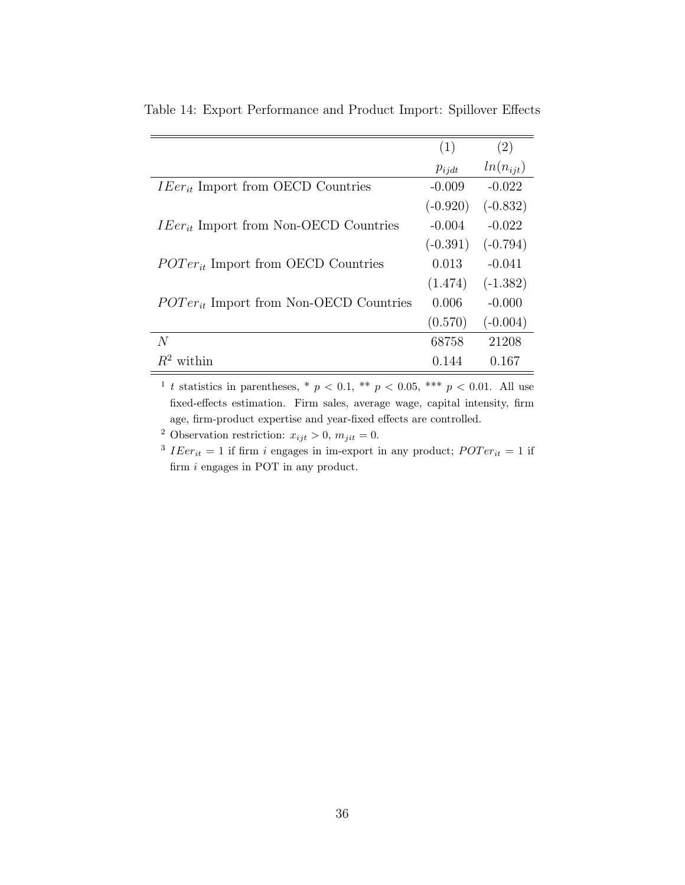|                                                     | (1)        | (2)           |
|-----------------------------------------------------|------------|---------------|
|                                                     | $p_{ijdt}$ | $ln(n_{ijt})$ |
| $I\mathit{Eer}_{it}$ Import from OECD Countries     | $-0.009$   | $-0.022$      |
|                                                     | $(-0.920)$ | $(-0.832)$    |
| $I\mathit{Eer}_{it}$ Import from Non-OECD Countries | $-0.004$   | $-0.022$      |
|                                                     | $(-0.391)$ | $(-0.794)$    |
| $POTer_{it}$ Import from OECD Countries             | 0.013      | $-0.041$      |
|                                                     | (1.474)    | $(-1.382)$    |
| $POTer_{it}$ Import from Non-OECD Countries         | 0.006      | $-0.000$      |
|                                                     | (0.570)    | $(-0.004)$    |
| $\overline{N}$                                      | 68758      | 21208         |
| within<br>$R^2$                                     | 0.144      | 0.167         |

Table 14: Export Performance and Product Import: Spillover Effects

<sup>1</sup> t statistics in parentheses, \*  $p < 0.1$ , \*\*  $p < 0.05$ , \*\*\*  $p < 0.01$ . All use fixed-effects estimation. Firm sales, average wage, capital intensity, firm age, firm-product expertise and year-fixed effects are controlled.

<sup>2</sup> Observation restriction:  $x_{ijt} > 0$ ,  $m_{jit} = 0$ .

<sup>3</sup>  $IEx_i = 1$  if firm i engages in im-export in any product;  $POTer_{it} = 1$  if firm i engages in POT in any product.